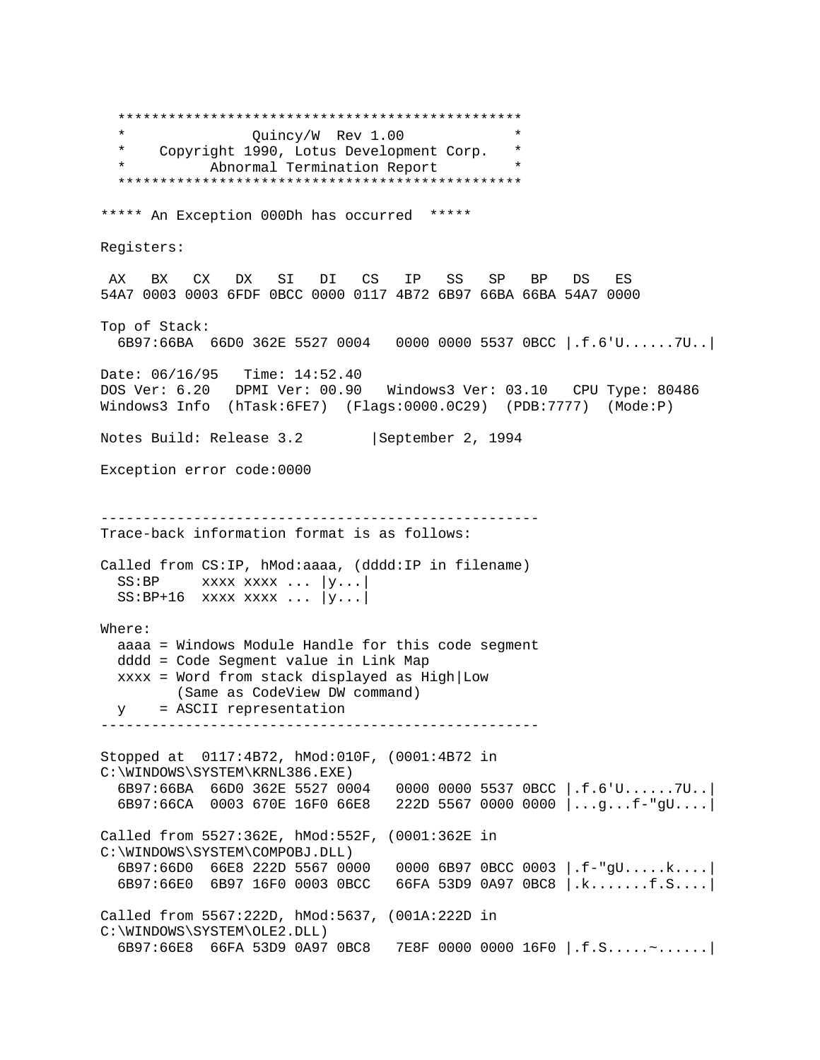\*\*\*\*\*\*\*\*\*\*\*\*\*\*\*\*\*\*\*\*\*\*\*\*\*\*\*\*\*\*\*\*\*\*\*\*\*\*\*\*\*\*\*\*\*\*\*\* \* Quincy/W Rev 1.00 \* \* Copyright 1990, Lotus Development Corp. \* Abnormal Termination Report \*\*\*\*\*\*\*\*\*\*\*\*\*\*\*\*\*\*\*\*\*\*\*\*\*\*\*\*\*\*\*\*\*\*\*\*\*\*\*\*\*\*\*\*\*\*\*\* \*\*\*\*\* An Exception 000Dh has occurred \*\*\*\*\* Registers: AX BX CX DX SI DI CS IP SS SP BP DS ES 54A7 0003 0003 6FDF 0BCC 0000 0117 4B72 6B97 66BA 66BA 54A7 0000 Top of Stack: 6B97:66BA 66D0 362E 5527 0004 0000 0000 5537 0BCC |.f.6'U......7U..| Date: 06/16/95 Time: 14:52.40 DOS Ver: 6.20 DPMI Ver: 00.90 Windows3 Ver: 03.10 CPU Type: 80486 Windows3 Info (hTask:6FE7) (Flags:0000.0C29) (PDB:7777) (Mode:P) Notes Build: Release 3.2 | September 2, 1994 Exception error code:0000 ---------------------------------------------------- Trace-back information format is as follows: Called from CS:IP, hMod:aaaa, (dddd:IP in filename)  $SS: BP$  xxxx xxxx ...  $|y...|$  $SS: BP+16$  xxxx xxxx ...  $|y...|$ Where: aaaa = Windows Module Handle for this code segment dddd = Code Segment value in Link Map xxxx = Word from stack displayed as High|Low (Same as CodeView DW command) y = ASCII representation ---------------------------------------------------- Stopped at 0117:4B72, hMod:010F, (0001:4B72 in C:\WINDOWS\SYSTEM\KRNL386.EXE) 6B97:66BA 66D0 362E 5527 0004 0000 0000 5537 0BCC |.f.6'U......7U..| 6B97:66CA 0003 670E 16F0 66E8 222D 5567 0000 0000 |...g...f-"gU....| Called from 5527:362E, hMod:552F, (0001:362E in C:\WINDOWS\SYSTEM\COMPOBJ.DLL) 6B97:66D0 66E8 222D 5567 0000 0000 6B97 0BCC 0003 |.f-"gU.....k....| 6B97:66E0 6B97 16F0 0003 0BCC 66FA 53D9 0A97 0BC8 |.k.......f.S....| Called from 5567:222D, hMod:5637, (001A:222D in C:\WINDOWS\SYSTEM\OLE2.DLL) 6B97:66E8 66FA 53D9 0A97 0BC8 7E8F 0000 0000 16F0 |.f.S.....~......|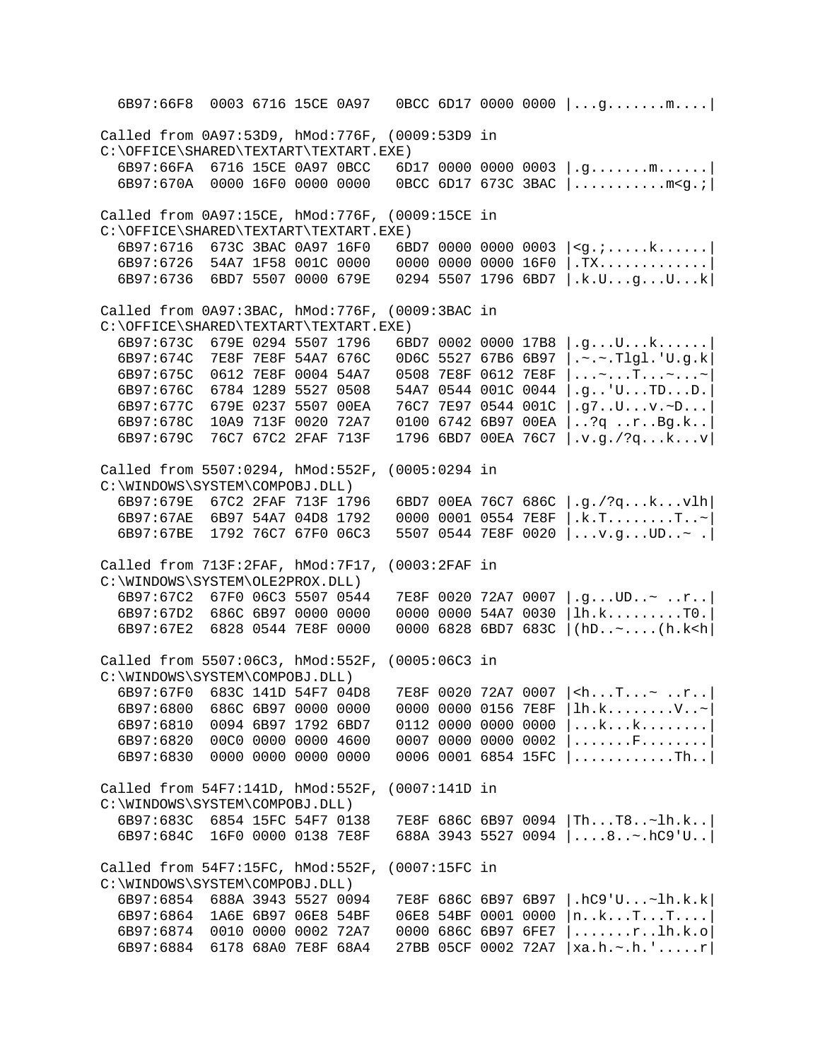6B97:66F8 0003 6716 15CE 0A97 0BCC 6D17 0000 0000 |...g.......m....| Called from 0A97:53D9, hMod:776F, (0009:53D9 in C:\OFFICE\SHARED\TEXTART\TEXTART.EXE)<br>6B97:66FA 6716 15CE 0A97 0BCC 6D  $6D1700000000003$  .g.......m..... 6B97:670A 0000 16F0 0000 0000 0BCC 6D17 673C 3BAC |...........m<g.;| Called from 0A97:15CE, hMod:776F, (0009:15CE in C:\OFFICE\SHARED\TEXTART\TEXTART.EXE)<br>6B97:6716 673C 3BAC 0A97 16F0 6B 6BD7 0000 0000 0003 |<g.;.....k......| 6B97:6726 54A7 1F58 001C 0000 0000 0000 0000 16F0 |.TX.............| 6B97:6736 6BD7 5507 0000 679E 0294 5507 1796 6BD7 |.k.U...g...U...k| Called from 0A97:3BAC, hMod:776F, (0009:3BAC in C:\OFFICE\SHARED\TEXTART\TEXTART.EXE) 6B97:673C 679E 0294 5507 1796 6BD7 0002 0000 17B8 |.g...U...k......|<br>6B97:674C 7E8F 7E8F 54A7 676C 0D6C 5527 67B6 6B97 |.~.~.Tlgl.'U.g.k 6B97:674C 7E8F 7E8F 54A7 676C 0D6C 5527 67B6 6B97 |.~.~.Tlgl.'U.g.k| 0508 7E8F 0612 7E8F |...~...T...~...~ 6B97:676C 6784 1289 5527 0508 54A7 0544 001C 0044 |.g..'U...TD...D.|  $76C7$  7E97 0544 001C  $|.q7..U...v.$   $D...$  6B97:678C 10A9 713F 0020 72A7 0100 6742 6B97 00EA |..?q ..r..Bg.k..| 6B97:679C 76C7 67C2 2FAF 713F 1796 6BD7 00EA 76C7 |.v.g./?q...k...v| Called from 5507:0294, hMod:552F, (0005:0294 in C:\WINDOWS\SYSTEM\COMPOBJ.DLL)<br>6B97:679E 67C2 2FAF 713F 1796 6B97:679E 67C2 2FAF 713F 1796 6BD7 00EA 76C7 686C |.g./?q...k...vlh| 6B97:67AE 6B97 54A7 04D8 1792 0000 0001 0554 7E8F |.k.T........T..~| 5507 0544 7E8F 0020  $|...v,q...UD... \rangle$ . Called from 713F:2FAF, hMod:7F17, (0003:2FAF in C:\WINDOWS\SYSTEM\OLE2PROX.DLL)<br>6B97:67C2 67F0 06C3 5507 0544 6B97:67C2 67F0 06C3 5507 0544 7E8F 0020 72A7 0007 |.g...UD..~ ..r..| 6B97:67D2 686C 6B97 0000 0000 0000 0000 54A7 0030 |lh.k.........T0.<br>6B97:67E2 6828 0544 7E8F 0000 0000 6828 6BD7 683C |(hD..~....(h.k<h 0000 6828 6BD7 683C  $|$ (hD..~....(h.k<h) Called from 5507:06C3, hMod:552F, (0005:06C3 in C:\WINDOWS\SYSTEM\COMPOBJ.DLL)<br>6B97:67F0 683C 141D 54F7 04D8 6B97:67F0 683C 141D 54F7 04D8 7E8F 0020 72A7 0007  $|\langle h...T... \rangle \cdot r... |\$ 6B97:6800 686C 6B97 0000 0000 0000 0000 0156 7E8F  $|h.k... \dots \dots \vee \dots \vee$  $6B97:6800$  686C 6B97 0000 0000 0000 0000 0156 7E8F  $|1h.k.\ldots.\ldots.v.\sim$ <br> $6B97:6810$  0094 6B97 1792 6BD7 0112 0000 0000 0000  $|...k...k...k......|$  $6B97:6810$  0094 6B97 1792 6BD7 0112 0000 0000 0000  $| \dots k \dots k \dots \dots \dots k$ <br>6B97:6820 00C0 0000 0000 4600 0007 0000 0000 0002  $| \dots \dots k \dots \dots \dots$  $6B97:6820$  00C0 0000 0000 4600 0007 0000 0000 0002 |......F........<br> $6B97:6830$  0000 0000 0000 0000 0006 0001 6854 15FC |...........Th.. 0006 0001 6854 15FC  $| \dots \dots \dots \dots$ ........ Called from 54F7:141D, hMod:552F, (0007:141D in C:\WINDOWS\SYSTEM\COMPOBJ.DLL)<br>6B97:683C 6854 15FC 54F7 0138 6B97:683C 6854 15FC 54F7 0138 7E8F 686C 6B97 0094 |Th...T8..~lh.k..| 688A 3943 5527 0094  $|...8...$ ....hC9'U.. Called from 54F7:15FC, hMod:552F, (0007:15FC in C:\WINDOWS\SYSTEM\COMPOBJ.DLL)<br>6B97:6854 688A 3943 5527 0094 6B97:6854 688A 3943 5527 0094 7E8F 686C 6B97 6B97 |.hC9'U...~lh.k.k| 06E8 54BF 0001 0000 |n..k...T...T....<br>0000 686C 6B97 6FE7 |.......r..1h.k.o 6B97:6874 0010 0000 0002 72A7 0000 686C 6B97 6FE7 |.......r..lh.k.o| 6B97:6884 6178 68A0 7E8F 68A4 27BB 05CF 0002 72A7 |xa.h.~.h.'.....r|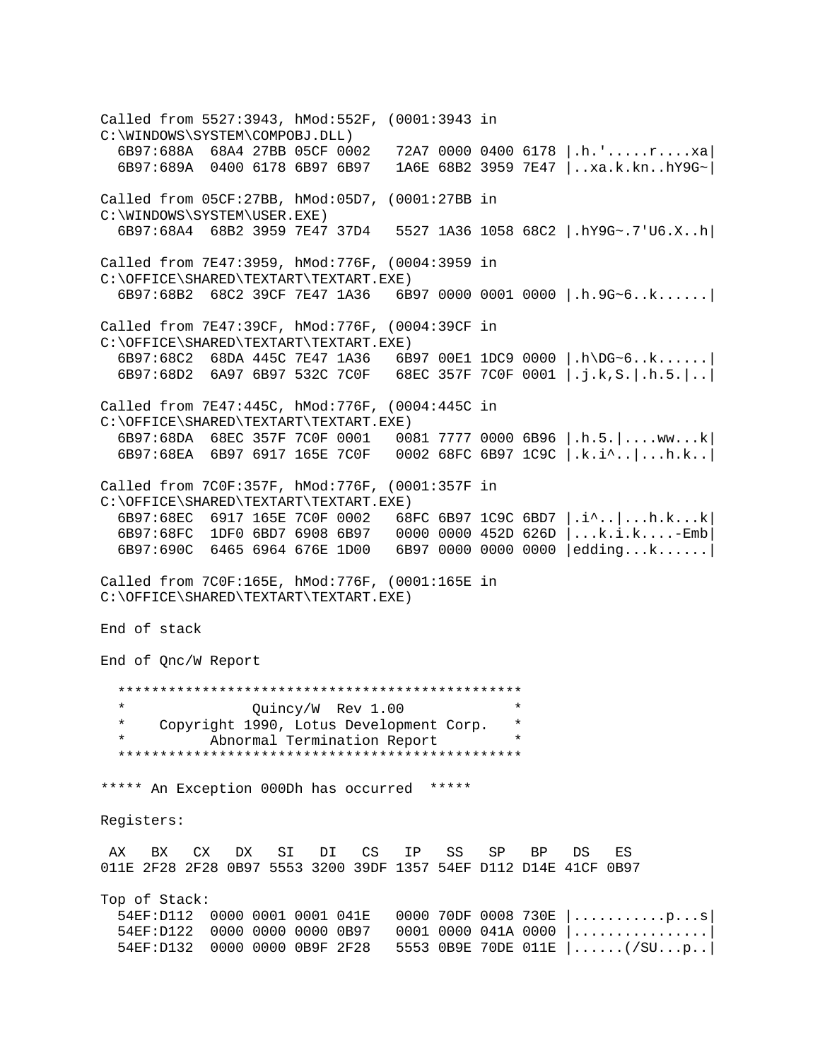Called from 5527:3943, hMod:552F, (0001:3943 in C:\WINDOWS\SYSTEM\COMPOBJ.DLL)<br>6B97:688A 68A4 27BB 05CF 0002 6B97:688A 68A4 27BB 05CF 0002 72A7 0000 0400 6178 |.h.'.....r....xa| 1A6E 68B2 3959 7E47 |..xa.k.kn..hY9G~| Called from 05CF:27BB, hMod:05D7, (0001:27BB in C:\WINDOWS\SYSTEM\USER.EXE) 6B97:68A4 68B2 3959 7E47 37D4 5527 1A36 1058 68C2 |.hY9G~.7'U6.X..h| Called from 7E47:3959, hMod:776F, (0004:3959 in C:\OFFICE\SHARED\TEXTART\TEXTART.EXE) 6B97:68B2 68C2 39CF 7E47 1A36 6B97 0000 0001 0000 |.h.9G~6..k......| Called from 7E47:39CF, hMod:776F, (0004:39CF in C:\OFFICE\SHARED\TEXTART\TEXTART.EXE)<br>6B97:68C2 68DA 445C 7E47 1A36 6B 6B97 00E1 1DC9 0000  $|h\Box 6...k...|$  6B97:68D2 6A97 6B97 532C 7C0F 68EC 357F 7C0F 0001 |.j.k,S.|.h.5.|..| Called from 7E47:445C, hMod:776F, (0004:445C in C:\OFFICE\SHARED\TEXTART\TEXTART.EXE) 6B97:68DA 68EC 357F 7C0F 0001 0081 7777 0000 6B96 |.h.5.|....ww...k| 6B97:68EA 6B97 6917 165E 7C0F 0002 68FC 6B97 1C9C |.k.i^..|...h.k..| Called from 7C0F:357F, hMod:776F, (0001:357F in C:\OFFICE\SHARED\TEXTART\TEXTART.EXE) 6B97:68EC 6917 165E 7C0F 0002 68FC 6B97 1C9C 6BD7 |.i^..|...h.k...k| 6B97:68FC 1DF0 6BD7 6908 6B97 0000 0000 452D 626D |...k.i.k....-Emb| 6B97:690C 6465 6964 676E 1D00 6B97 0000 0000 0000 |edding...k......| Called from 7C0F:165E, hMod:776F, (0001:165E in C:\OFFICE\SHARED\TEXTART\TEXTART.EXE) End of stack End of Qnc/W Report \*\*\*\*\*\*\*\*\*\*\*\*\*\*\*\*\*\*\*\*\*\*\*\*\*\*\*\*\*\*\*\*\*\*\*\*\*\*\*\*\*\*\*\*\*\*\*\* \* Quincy/W Rev 1.00 \* Copyright 1990, Lotus Development Corp. Abnormal Termination Report \*\*\*\*\*\*\*\*\*\*\*\*\*\*\*\*\*\*\*\*\*\*\*\*\*\*\*\*\*\*\*\*\*\*\*\*\*\*\*\*\*\*\*\*\*\*\*\* \*\*\*\*\* An Exception 000Dh has occurred \*\*\*\*\* Registers: AX BX CX DX SI DI CS IP SS SP BP DS ES 011E 2F28 2F28 0B97 5553 3200 39DF 1357 54EF D112 D14E 41CF 0B97 Top of Stack:<br>54EF:D112 0000 0001 0001 041E 54EF:D112 0000 0001 0001 041E 0000 70DF 0008 730E |...........p...s|  $54EF: D122$  0000 0000 0000 0B97 0001 0000 041A 0000  $\vert$ ............... 54EF:D132 0000 0000 0B9F 2F28 5553 0B9E 70DE 011E |......(/SU...p..|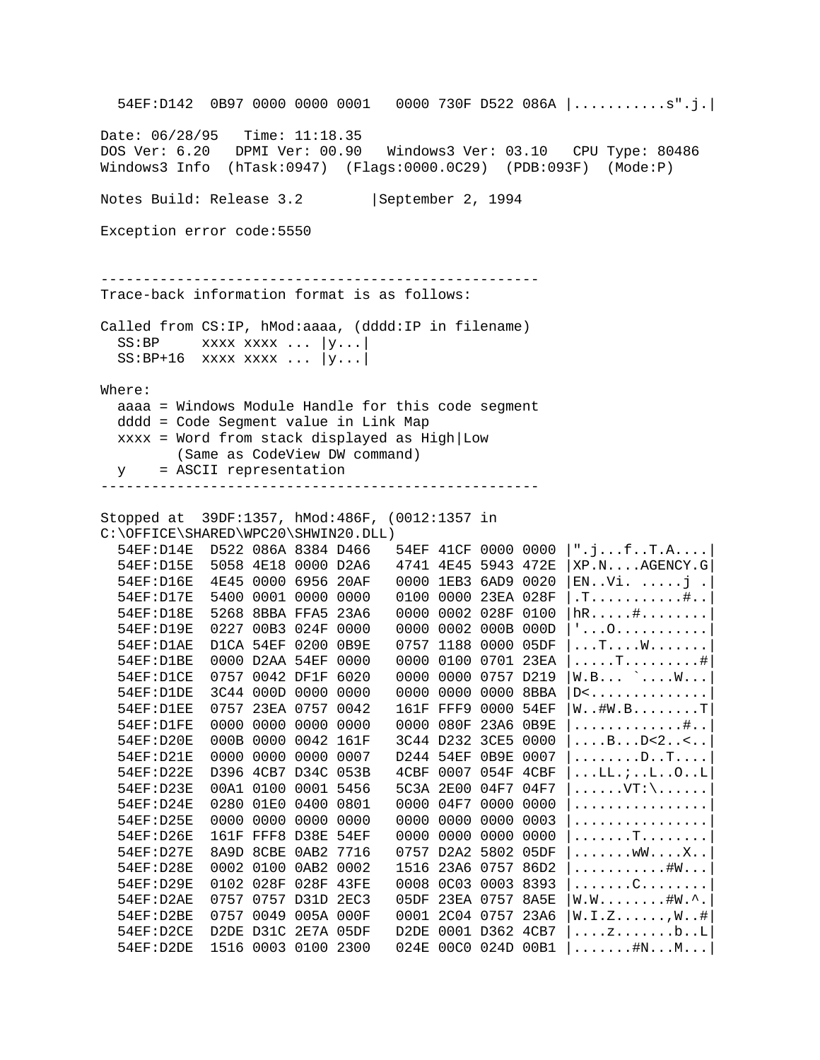54EF:D142 0B97 0000 0000 0001 0000 730F D522 086A |...........s".j.| Date: 06/28/95 Time: 11:18.35 DOS Ver: 6.20 DPMI Ver: 00.90 Windows3 Ver: 03.10 CPU Type: 80486 Windows3 Info (hTask:0947) (Flags:0000.0C29) (PDB:093F) (Mode:P) Notes Build: Release 3.2 | September 2, 1994 Exception error code:5550 ---------------------------------------------------- Trace-back information format is as follows: Called from CS:IP, hMod:aaaa, (dddd:IP in filename)  $SS:BP$  xxxx xxxx ... |y...|  $SS: BP+16$  xxxx xxxx ...  $|y...|$ Where: aaaa = Windows Module Handle for this code segment dddd = Code Segment value in Link Map xxxx = Word from stack displayed as High|Low (Same as CodeView DW command) y = ASCII representation ---------------------------------------------------- Stopped at 39DF:1357, hMod:486F, (0012:1357 in C:\OFFICE\SHARED\WPC20\SHWIN20.DLL) 54EF:D14E D522 086A 8384 D466 54EF 41CF 0000 0000 |".j...f..T.A....| 54EF:D15E 5058 4E18 0000 D2A6 4741 4E45 5943 472E |XP.N....AGENCY.G| 54EF:D16E 4E45 0000 6956 20AF 0000 1EB3 6AD9 0020 |EN..Vi. .....j .| 54EF:D17E 5400 0001 0000 0000 0100 0000 23EA 028F |.T...........#..| 54EF:D18E 5268 8BBA FFA5 23A6 0000 0002 028F 0100 |hR.....#........| 54EF:D19E 0227 00B3 024F 0000 0000 0002 000B 000D |'...O...........| 54EF:D1AE D1CA 54EF 0200 0B9E 0757 1188 0000 05DF |...T....W.......| 54EF:D1BE 0000 D2AA 54EF 0000 0000 0100 0701 23EA |.....T.........#| 54EF:D1CE 0757 0042 DF1F 6020 0000 0000 0757 D219 |W.B... `....W...| 54EF:D1DE 3C44 000D 0000 0000 0000 0000 0000 8BBA |D<.............. 54EF:D1EE 0757 23EA 0757 0042 161F FFF9 0000 54EF |W..#W.B........T| 54EF:D1FE 0000 0000 0000 0000 0000 080F 23A6 0B9E  $|$ ..............#..<br>54EF:D20E 000B 0000 0042 161F 3C44 D232 3CE5 0000  $|$ ...B..D<2..<.. 54EF:D20E 000B 0000 0042 161F 3C44 D232 3CE5 0000 54EF:D21E 0000 0000 0000 0007 D244 54EF 0B9E 0007 |........D..T....| 54EF:D22E D396 4CB7 D34C 053B 4CBF 0007 054F 4CBF |...LL.;..L..O..L| 54EF:D23E 00A1 0100 0001 5456 5C3A 2E00 04F7 04F7 |......VT:\......| 54EF:D24E 0280 01E0 0400 0801 0000 04F7 0000 0000 |............... 54EF:D25E 0000 0000 0000 0000 0000 0000 0000 0003 |................| 54EF:D26E 161F FFF8 D38E 54EF 0000 0000 0000 0000 |......T........<br>54EF:D27E 8A9D 8CBE 0AB2 7716 0757 D2A2 5802 05DF |.......wW....X.. 54EF:D27E 8A9D 8CBE 0AB2 7716 0757 D2A2 5802 05DF |.......wW....X..<br>54EF:D28E 0002 0100 0AB2 0002 1516 23A6 0757 86D2 |...........#W... 54EF:D28E 0002 0100 0AB2 0002 1516 23A6 0757 86D2 54EF:D29E 0102 028F 028F 43FE 0008 0C03 0003 8393 |.......C........| 54EF:D2AE 0757 0757 D31D 2EC3 05DF 23EA 0757 8A5E |W.W........#W.^.| 54EF:D2BE 0757 0049 005A 000F 0001 2C04 0757 23A6 |W.I.Z......,W..#| 54EF:D2CE D2DE D31C 2E7A 05DF D2DE 0001 D362 4CB7 |....z.......b..L| 54EF:D2DE 1516 0003 0100 2300 024E 00C0 024D 00B1 |.......#N...M...|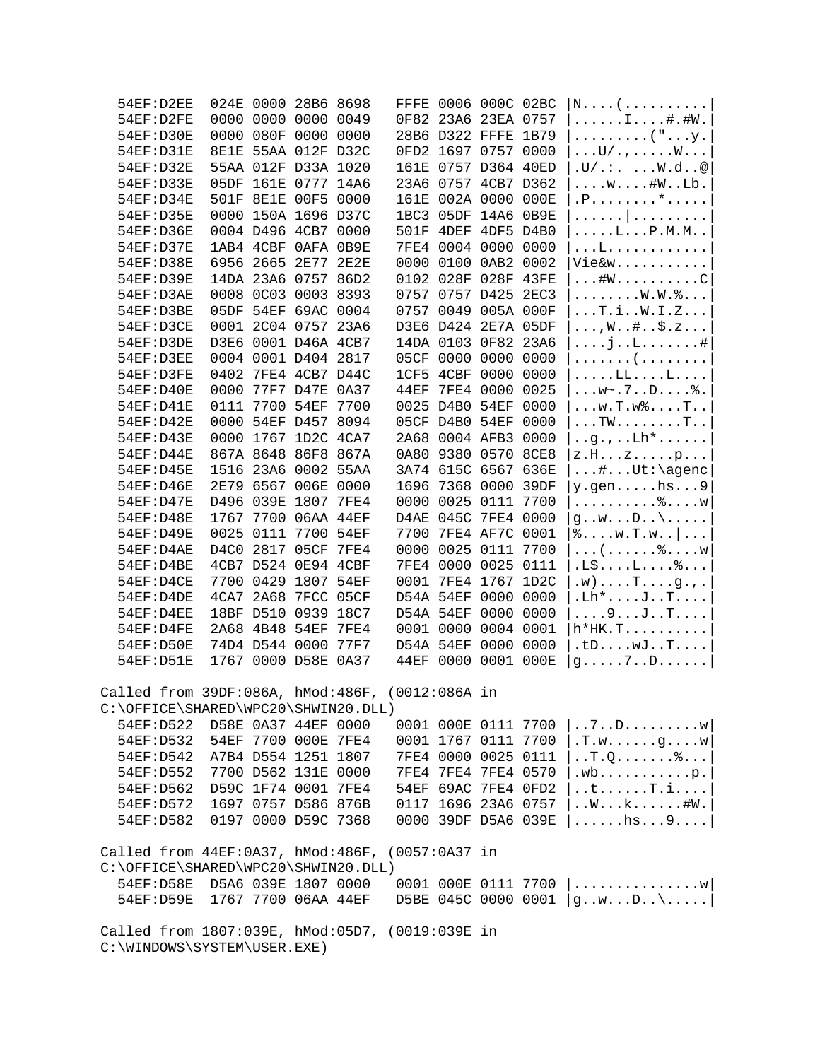|                                     | 54EF:D2EE  |                                |                | 024E 0000 28B6 8698 |      |                                                 |           | FFFE 0006 000C 02BC |                     | $N. \ldots ( \ldots \ldots \ldots \ldots$               |
|-------------------------------------|------------|--------------------------------|----------------|---------------------|------|-------------------------------------------------|-----------|---------------------|---------------------|---------------------------------------------------------|
|                                     | 54EF:D2FE  |                                |                | 0000 0000 0000 0049 |      |                                                 |           | 0F82 23A6 23EA 0757 |                     | $\ldots \ldots \ldots$ . $\vdots$                       |
|                                     | 54EF: D30E |                                |                | 0000 080F 0000 0000 |      |                                                 |           | 28B6 D322 FFFE 1B79 |                     | $\ldots \ldots \ldots$ ("y.                             |
|                                     | 54EF: D31E |                                |                | 8E1E 55AA 012F D32C |      |                                                 |           | 0FD2 1697 0757 0000 |                     | $\ldots U/$ . , W                                       |
|                                     | 54EF: D32E |                                |                | 55AA 012F D33A 1020 |      |                                                 |           | 161E 0757 D364 40ED |                     | $.U/$ .:. $W.d. .@$                                     |
|                                     | 54EF: D33E | 05DF                           |                | 161E 0777 14A6      |      |                                                 |           | 23A6 0757 4CB7 D362 |                     | $\ldots w \ldots #W \ldots Lb.$                         |
|                                     | 54EF: D34E |                                |                | 501F 8E1E 00F5 0000 |      |                                                 |           | 161E 002A 0000 000E |                     | P. 1.                                                   |
|                                     | 54EF: D35E |                                |                | 0000 150A 1696 D37C |      | 1BC3 05DF                                       |           | 14A6 0B9E           |                     |                                                         |
|                                     | 54EF: D36E |                                |                | 0004 D496 4CB7 0000 |      |                                                 |           | 501F 4DEF 4DF5 D4B0 |                     | .                                                       |
|                                     | 54EF: D37E |                                |                | 1AB4 4CBF 0AFA 0B9E |      |                                                 |           | 7FE4 0004 0000 0000 |                     | $\ldots$ $L \ldots P$ .M.M<br>. L                       |
|                                     | 54EF: D38E |                                |                | 6956 2665 2E77 2E2E |      |                                                 |           | 0000 0100 0AB2 0002 |                     | Vie&w                                                   |
|                                     | 54EF: D39E |                                |                | 14DA 23A6 0757 86D2 |      |                                                 |           | 0102 028F 028F 43FE |                     | $\dots$ #W $\dots$ C                                    |
|                                     | 54EF:D3AE  |                                |                | 0008 0C03 0003 8393 |      |                                                 |           | 0757 0757 D425 2EC3 |                     |                                                         |
|                                     |            |                                |                |                     |      |                                                 |           |                     |                     | . W . W . 8                                             |
|                                     | 54EF:D3BE  |                                |                | 05DF 54EF 69AC 0004 |      |                                                 |           | 0757 0049 005A 000F |                     | $\ldots$ T.i. $W.L.Z$                                   |
|                                     | 54EF:D3CE  |                                |                | 0001 2C04 0757 23A6 |      |                                                 |           | D3E6 D424 2E7A 05DF |                     | $\ldots, W \ldots # \ldots$ \$.z                        |
|                                     | 54EF:D3DE  |                                |                | D3E6 0001 D46A 4CB7 |      |                                                 |           | 14DA 0103 0F82 23A6 |                     | $\ldots$ . j. . L. #                                    |
|                                     | 54EF:D3EE  |                                |                | 0004 0001 D404 2817 |      |                                                 |           | 05CF 0000 0000 0000 |                     | . (                                                     |
|                                     | 54EF:D3FE  | 0402                           |                | 7FE4 4CB7 D44C      |      |                                                 |           | 1CF5 4CBF 0000 0000 |                     | $\ldots$ $\text{LL}$ $\text{L}$                         |
|                                     | 54EF: D40E | 0000                           |                | 77F7 D47E 0A37      |      | 44EF                                            |           | 7FE4 0000 0025      |                     |                                                         |
|                                     | 54EF: D41E | 0111                           |                | 7700 54EF 7700      |      |                                                 |           | 0025 D4B0 54EF 0000 |                     | $\ldots w.T.w$ , $\ldots T.$                            |
|                                     | 54EF: D42E | 0000                           |                | 54EF D457 8094      |      |                                                 |           | 05CF D4B0 54EF 0000 |                     | $\ldots$ TW $\ldots$ $\ldots$ . $\ldots$ T $\ldots$     |
|                                     | 54EF: D43E |                                |                | 0000 1767 1D2C 4CA7 |      |                                                 |           | 2A68 0004 AFB3 0000 |                     | $\ldots$ g.,. $Lh^*$                                    |
|                                     | 54EF: D44E |                                |                | 867A 8648 86F8 867A |      |                                                 |           | 0A80 9380 0570 8CE8 |                     | z.Hzp                                                   |
|                                     | 54EF: D45E |                                |                | 1516 23A6 0002 55AA |      |                                                 |           | 3A74 615C 6567 636E |                     | $\dots$ #Ut:\agenc                                      |
|                                     | 54EF: D46E |                                |                | 2E79 6567 006E 0000 |      |                                                 |           | 1696 7368 0000 39DF |                     | $y.$ gen $hs9$                                          |
|                                     | 54EF: D47E |                                |                | D496 039E 1807 7FE4 |      | 0000                                            |           | 0025 0111 7700      |                     | . $\delta$ W                                            |
|                                     | 54EF: D48E | 1767                           |                | 7700 06AA 44EF      |      |                                                 |           | D4AE 045C 7FE4 0000 |                     | $g \ldots w \ldots D \ldots \ldots$                     |
|                                     | 54EF: D49E | 0025                           | 0111           | 7700 54EF           |      | 7700                                            |           | 7FE4 AF7C 0001      |                     | $\delta$ $W$ . T. $W$                                   |
|                                     | 54EF:D4AE  |                                | D4C0 2817      | 05CF                | 7FE4 | 0000                                            |           | 0025 0111 7700      |                     | $\ldots$ ( $\ldots$ $\mathcal{E}$ W                     |
|                                     | 54EF:D4BE  |                                |                | 4CB7 D524 0E94 4CBF |      |                                                 |           | 7FE4 0000 0025 0111 |                     | $.L$L$ $18$                                             |
|                                     | 54EF:D4CE  | 7700                           | 0429           | 1807                | 54EF |                                                 |           | 0001 7FE4 1767 1D2C |                     | $.w) \ldots T \ldots g \ldots$                          |
|                                     | 54EF:D4DE  |                                | 4CA7 2A68      | 7FCC 05CF           |      | D54A 54EF                                       |           | 0000 0000           |                     | $.Lh$ * $\ldots$ J $\ldots$ T $\ldots$                  |
|                                     | 54EF:D4EE  |                                | 18BF D510      | 0939                | 18C7 | D54A 54EF                                       |           | 0000 0000           |                     | $\ldots 9 \ldots J \ldots T \ldots$                     |
|                                     | 54EF:D4FE  |                                | 2A68 4B48 54EF |                     | 7FE4 | 0001 0000                                       |           | 0004 0001           |                     | $h*HK.T$                                                |
|                                     | 54EF: D50E |                                | 74D4 D544 0000 |                     | 77F7 | D54A 54EF                                       |           | 0000 0000           |                     | tDwJT                                                   |
|                                     | 54EF: D51E |                                |                | 1767 0000 D58E 0A37 |      |                                                 | 44EF 0000 | 0001 000E           |                     | $g \ldots .7 \ldots D \ldots .$                         |
|                                     |            |                                |                |                     |      | Called from 39DF:086A, hMod:486F, (0012:086A in |           |                     |                     |                                                         |
| C:\OFFICE\SHARED\WPC20\SHWIN20.DLL) |            |                                |                |                     |      |                                                 |           |                     |                     |                                                         |
|                                     | 54EF: D522 | D58E 0A37 44EF 0000            |                |                     |      |                                                 |           |                     |                     | 0001 000E 0111 7700 $  \dots 7 \dots D \dots \dots N  $ |
|                                     |            | 54EF: D532 54EF 7700 000E 7FE4 |                |                     |      |                                                 |           | 0001 1767 0111 7700 |                     | $ \cdot$ T.wg $w$                                       |
|                                     |            | 54EF:D542 A7B4 D554 1251 1807  |                |                     |      |                                                 |           |                     |                     | 7FE4 0000 0025 0111 $\vert \ldots$ T.Q                  |
|                                     | 54EF: D552 | 7700 D562 131E 0000            |                |                     |      |                                                 |           |                     | 7FE4 7FE4 7FE4 0570 | .wbp.                                                   |
|                                     |            | 54EF:D562 D59C 1F74 0001 7FE4  |                |                     |      |                                                 |           | 54EF 69AC 7FE4 0FD2 |                     | $\dots$ t $\dots$ . T.i                                 |
|                                     |            | 54EF:D572 1697 0757 D586 876B  |                |                     |      |                                                 |           | 0117 1696 23A6 0757 |                     | $\dots$ W $k$ #W.                                       |
|                                     |            | 54EF:D582 0197 0000 D59C 7368  |                |                     |      |                                                 |           | 0000 39DF D5A6 039E |                     | $ \ldots \ldots \text{hs} \ldots 9 \ldots  \}$          |
|                                     |            |                                |                |                     |      | Called from 44EF:0A37, hMod:486F, (0057:0A37 in |           |                     |                     |                                                         |
| C:\OFFICE\SHARED\WPC20\SHWIN20.DLL) |            |                                |                |                     |      |                                                 |           |                     |                     |                                                         |
|                                     |            | 54EF:D58E D5A6 039E 1807 0000  |                |                     |      |                                                 |           |                     |                     | 0001 000E 0111 7700 $ $ w                               |
|                                     |            | 54EF:D59E 1767 7700 06AA 44EF  |                |                     |      |                                                 |           |                     |                     | D5BE 045C 0000 0001 $ gwD \dots $                       |
|                                     |            |                                |                |                     |      | Called from 1807:039E, hMod:05D7, (0019:039E in |           |                     |                     |                                                         |

C:\WINDOWS\SYSTEM\USER.EXE)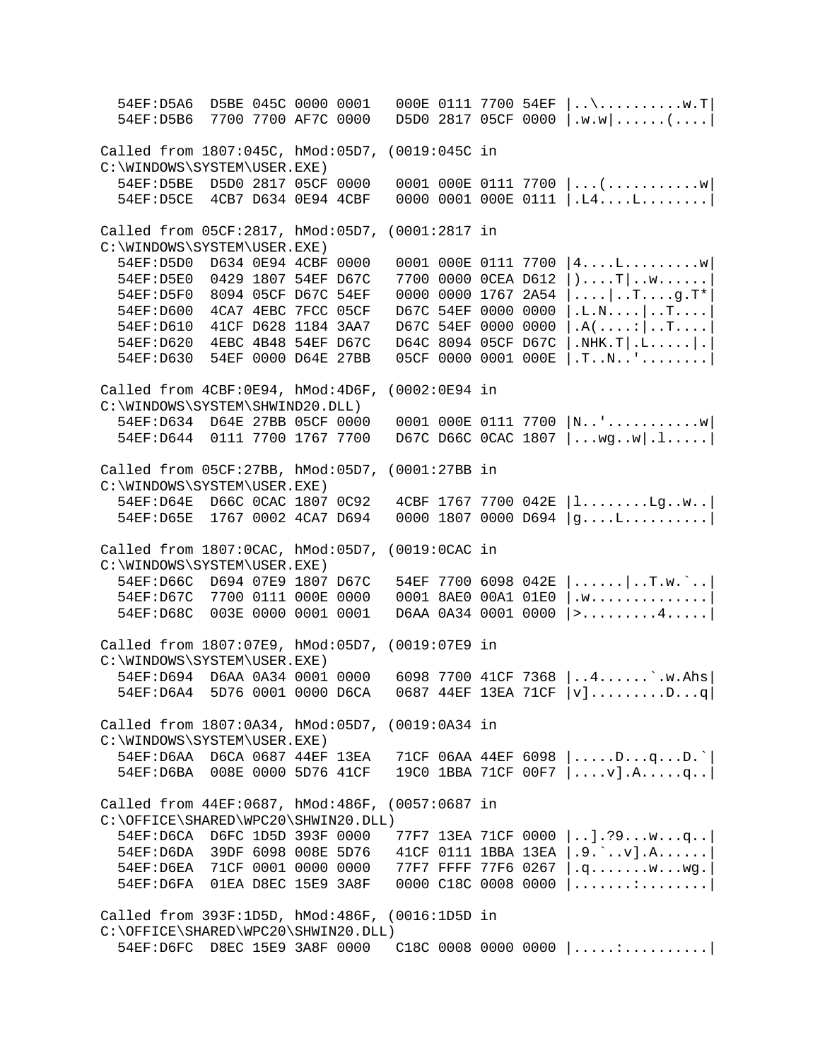54EF:D5A6 D5BE 045C 0000 0001 000E 0111 7700 54EF |..\..........w.T| 54EF:D5B6 7700 7700 AF7C 0000 D5D0 2817 05CF 0000 |.w.w|......(....| Called from 1807:045C, hMod:05D7, (0019:045C in C:\WINDOWS\SYSTEM\USER.EXE)<br>54EF:D5BE D5D0 2817 05CF 0000 54EF:D5BE D5D0 2817 05CF 0000 0001 000E 0111 7700 |...(.............w|<br>54EF:D5CE 4CB7 D634 0E94 4CBF 0000 0001 000E 0111 |.L4....L.........|  $0000 0001 000E 0111 |..L4...L...L...|$ Called from 05CF:2817, hMod:05D7, (0001:2817 in C:\WINDOWS\SYSTEM\USER.EXE)<br>54EF:D5D0 D634 0E94 4CBF 0000 54EF:D5D0 D634 0E94 4CBF 0000 0001 000E 0111 7700 |4....L.........w| 54EF:D5E0 0429 1807 54EF D67C 7700 0000 0CEA D612  $|\cdot|$ ...T|..w......<br>54EF:D5F0 8094 05CF D67C 54EF 0000 0000 1767 2A54  $|\cdot|$ ..........q.T\* 54EF:D5F0 8094 05CF D67C 54EF 0000 0000 1767 2A54 |....|..T....g.T\*<br>54EF:D600 4CA7 4EBC 7FCC 05CF D67C 54EF 0000 0000 |.L.N....|..T.... 54EF:D600 4CA7 4EBC 7FCC 05CF D67C 54EF 0000 0000 |.L.N....|..T....<br>54EF:D610 41CF D628 1184 3AA7 D67C 54EF 0000 0000 |.A(....:|..T.... 54EF:D610 41CF D628 1184 3AA7 D67C 54EF 0000 0000  $|A(\ldots)] \cdot$ T....<br>54EF:D620 4EBC 4B48 54EF D67C D64C 8094 05CF D67C | NHK.T | L..... | 54EF:D620 4EBC 4B48 54EF D67C D64C 8094 05CF D67C |.NHK.T|.L.....|.<br>54EF:D630 54EF 0000 D64E 27BB 05CF 0000 0001 000E |.T..N..'........  $05CF$  0000 0001 000E  $|.T..N..'.......$ Called from 4CBF:0E94, hMod:4D6F, (0002:0E94 in C:\WINDOWS\SYSTEM\SHWIND20.DLL)<br>54EF:D634 D64E 27BB 05CF 0000  $0001$   $000E$   $0111$  7700  $|N$ ..'.............w 54EF:D644 0111 7700 1767 7700 D67C D66C 0CAC 1807 |...wg..w|.l.....| Called from 05CF:27BB, hMod:05D7, (0001:27BB in C:\WINDOWS\SYSTEM\USER.EXE)<br>54EF:D64E D66C 0CAC 1807 0C92  $4CBF$  1767 7700 042E  $|l......lg...b$  54EF:D65E 1767 0002 4CA7 D694 0000 1807 0000 D694 |g....L..........| Called from 1807:0CAC, hMod:05D7, (0019:0CAC in C:\WINDOWS\SYSTEM\USER.EXE)<br>54EF:D66C D694 07E9 1807 D67C 54EF:D66C D694 07E9 1807 D67C 54EF 7700 6098 042E |......|..T.w.`..| 54EF:D67C 7700 0111 000E 0000 0001 8AE0 00A1 01E0 |.w...............<br>54EF:D68C 003E 0000 0001 0001 D6AA 0A34 0001 0000 |>.........4.....  $D6AA$  0A34 0001 0000 |>.........4.....| Called from 1807:07E9, hMod:05D7, (0019:07E9 in C:\WINDOWS\SYSTEM\USER.EXE) 54EF:D694 D6AA 0A34 0001 0000 6098 7700 41CF 7368 |..4......`.w.Ahs| 54EF:D6A4 5D76 0001 0000 D6CA 0687 44EF 13EA 71CF |v].........D...q| Called from 1807:0A34, hMod:05D7, (0019:0A34 in C:\WINDOWS\SYSTEM\USER.EXE)<br>54EF:D6AA D6CA 0687 44EF 13EA 54EF:D6AA D6CA 0687 44EF 13EA 71CF 06AA 44EF 6098 |.....D...q...D.`| 19C0 1BBA 71CF 00F7  $|...v]$ .A....q.. Called from 44EF:0687, hMod:486F, (0057:0687 in C:\OFFICE\SHARED\WPC20\SHWIN20.DLL)<br>54EF:D6CA D6FC 1D5D 393F 0000 54EF:D6CA D6FC 1D5D 393F 0000 77F7 13EA 71CF 0000 |..].?9...w...q..| 54EF:D6DA 39DF 6098 008E 5D76 41CF 0111 1BBA 13EA  $(.9.`..v).A.......$ <br>54EF:D6EA 71CF 0001 0000 0000 77F7 FFFF 77F6 0267  $.9.........$ w...wg. 54EF:D6EA 71CF 0001 0000 0000 77F7 FFFF 77F6 0267 |.q.......w...wg.<br>54EF:D6FA 01EA D8EC 15E9 3A8F 0000 C18C 0008 0000 |.......:........  $0000$  C18C 0008 0000  $|$ .......:..........| Called from 393F:1D5D, hMod:486F, (0016:1D5D in C:\OFFICE\SHARED\WPC20\SHWIN20.DLL) 54EF:D6FC D8EC 15E9 3A8F 0000 C18C 0008 0000 0000 |.....:..........|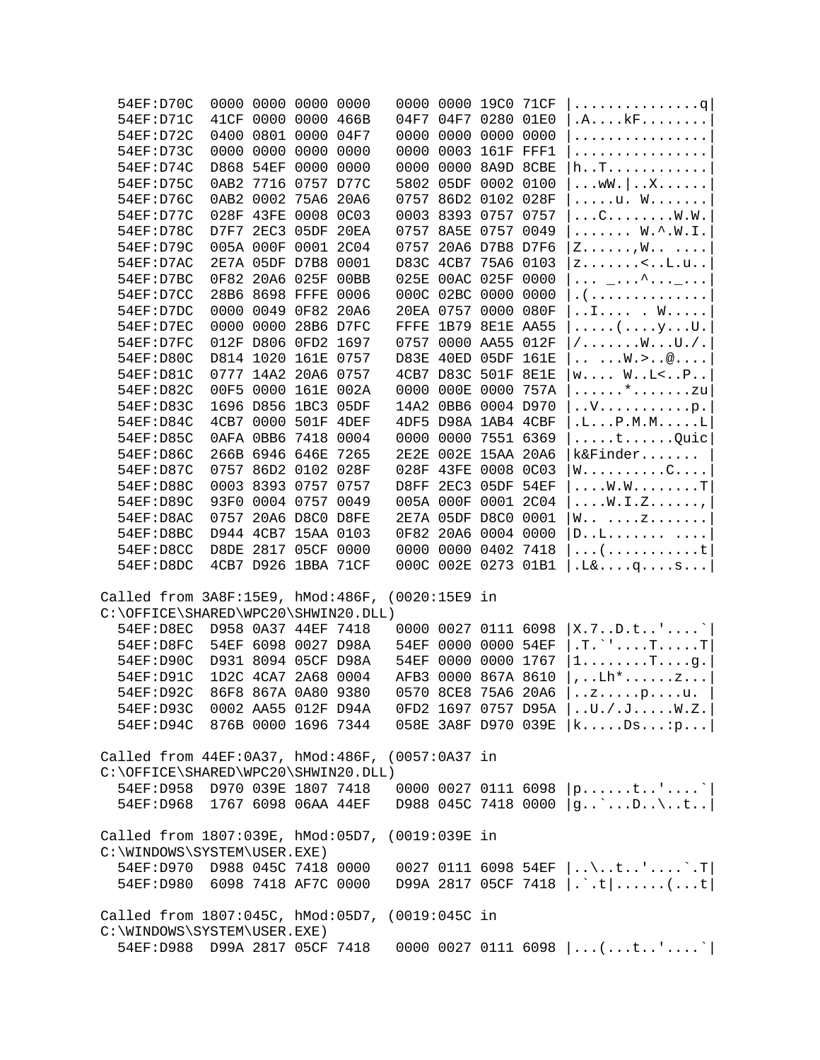| 54EF: D70C                                                                     |  | 0000 0000 0000 0000 |  | 0000 0000 19C0 71CF |  | . 9                                                          |
|--------------------------------------------------------------------------------|--|---------------------|--|---------------------|--|--------------------------------------------------------------|
| 54EF: D71C                                                                     |  | 41CF 0000 0000 466B |  | 04F7 04F7 0280 01E0 |  | $.A. \ldots kF \ldots \ldots$                                |
| 54EF: D72C                                                                     |  | 0400 0801 0000 04F7 |  | 0000 0000 0000 0000 |  | .                                                            |
| 54EF: D73C                                                                     |  | 0000 0000 0000 0000 |  | 0000 0003 161F FFF1 |  | .                                                            |
| 54EF: D74C                                                                     |  | D868 54EF 0000 0000 |  | 0000 0000 8A9D 8CBE |  | h. . T.                                                      |
| 54EF: D75C                                                                     |  | 0AB2 7716 0757 D77C |  | 5802 05DF 0002 0100 |  | $\ldots$ WW $\ldots$ $\ldots$ $\ldots$ $\ldots$              |
| 54EF: D76C                                                                     |  | 0AB2 0002 75A6 20A6 |  | 0757 86D2 0102 028F |  | u. W                                                         |
| 54EF: D77C                                                                     |  | 028F 43FE 0008 0C03 |  | 0003 8393 0757 0757 |  | $\ldots$ C $\ldots$ $\ldots$ $\ldots$ $W$ $\ldots$           |
| 54EF: D78C                                                                     |  | D7F7 2EC3 05DF 20EA |  | 0757 8A5E 0757 0049 |  | $\ldots \ldots$ W. $\hat{\cdot}$ W. I.                       |
| 54EF: D79C                                                                     |  | 005A 000F 0001 2C04 |  | 0757 20A6 D7B8 D7F6 |  | $Z \ldots \ldots, W \ldots \ldots$                           |
| 54EF:D7AC                                                                      |  | 2E7A 05DF D7B8 0001 |  | D83C 4CB7 75A6 0103 |  | $z$ $\lt$ $L.u.$ .                                           |
| 54EF:D7BC                                                                      |  | 0F82 20A6 025F 00BB |  | 025E 00AC 025F 0000 |  | $\ldots$ _ $\ldots$ ^ $\ldots$ _ $\ldots$ .                  |
| 54EF:D7CC                                                                      |  | 28B6 8698 FFFE 0006 |  | 000C 02BC 0000 0000 |  | . (                                                          |
| 54EF:D7DC                                                                      |  | 0000 0049 0F82 20A6 |  | 20EA 0757 0000 080F |  | I . W                                                        |
| 54EF:D7EC                                                                      |  | 0000 0000 28B6 D7FC |  | FFFE 1B79 8E1E AA55 |  | $\ldots$ $\left(\ldots, \gamma, \ldots, U\right)$ .          |
| 54EF:D7FC                                                                      |  | 012F D806 0FD2 1697 |  | 0757 0000 AA55 012F |  | $/$ $WU. /$ .                                                |
| 54EF: D80C                                                                     |  | D814 1020 161E 0757 |  | D83E 40ED 05DF 161E |  | $\ldots$ $W. > @$                                            |
| 54EF: D81C                                                                     |  | 0777 14A2 20A6 0757 |  | 4CB7 D83C 501F 8E1E |  | $W \ldots W \ldots L < \ldots P \ldots$                      |
| 54EF: D82C                                                                     |  | 00F5 0000 161E 002A |  | 0000 000E 0000 757A |  | $\ldots \ldots$ *zu                                          |
| 54EF: D83C                                                                     |  | 1696 D856 1BC3 05DF |  | 14A2 0BB6 0004 D970 |  | $\ldots V \ldots \ldots \ldots P$ .                          |
| 54EF: D84C                                                                     |  | 4CB7 0000 501F 4DEF |  | 4DF5 D98A 1AB4 4CBF |  | .L. P.M.M. L                                                 |
| 54EF: D85C                                                                     |  | 0AFA 0BB6 7418 0004 |  | 0000 0000 7551 6369 |  |                                                              |
| 54EF: D86C                                                                     |  | 266B 6946 646E 7265 |  | 2E2E 002E 15AA 20A6 |  | k&Finder                                                     |
| 54EF: D87C                                                                     |  | 0757 86D2 0102 028F |  | 028F 43FE 0008 0C03 |  | $W \ldots \ldots \ldots C \ldots$                            |
| 54EF: D88C                                                                     |  | 0003 8393 0757 0757 |  | D8FF 2EC3 05DF 54EF |  | . W . W T                                                    |
| 54EF: D89C                                                                     |  | 93F0 0004 0757 0049 |  | 005A 000F 0001 2C04 |  | $\ldots$ W.I.Z,                                              |
| 54EF:D8AC                                                                      |  | 0757 20A6 D8C0 D8FE |  | 2E7A 05DF D8C0 0001 |  | $W \ldots \ldots Z \ldots \ldots$                            |
| 54EF:D8BC                                                                      |  | D944 4CB7 15AA 0103 |  | 0F82 20A6 0004 0000 |  | D. . L.                                                      |
| 54EF:D8CC                                                                      |  | D8DE 2817 05CF 0000 |  | 0000 0000 0402 7418 |  | . ( t                                                        |
| 54EF:D8DC                                                                      |  | 4CB7 D926 1BBA 71CF |  | 000C 002E 0273 01B1 |  | $.L& \ldots q \ldots s \ldots$                               |
|                                                                                |  |                     |  |                     |  |                                                              |
| Called from 3A8F:15E9, hMod:486F, (0020:15E9 in                                |  |                     |  |                     |  |                                                              |
| C:\OFFICE\SHARED\WPC20\SHWIN20.DLL)                                            |  |                     |  |                     |  |                                                              |
| 54EF:D8EC                                                                      |  | D958 0A37 44EF 7418 |  | 0000 0027 0111 6098 |  | X.7. .D.t. .'.                                               |
| 54EF:D8FC                                                                      |  | 54EF 6098 0027 D98A |  | 54EF 0000 0000 54EF |  | $T.$ $\ldots$ $T.$ $\ldots$ $T$                              |
| 54EF: D90C                                                                     |  | D931 8094 05CF D98A |  | 54EF 0000 0000 1767 |  | $1 \ldots \ldots \ldots$ T $\ldots$ .g.                      |
| 54EF: D91C                                                                     |  | 1D2C 4CA7 2A68 0004 |  | AFB3 0000 867A 8610 |  | $\ldots$ Lh* $\ldots \ldots$ z                               |
| 54EF: D92C                                                                     |  | 86F8 867A 0A80 9380 |  | 0570 8CE8 75A6 20A6 |  | $.2.1.1$ $P.1.1$                                             |
| 54EF:D93C 0002 AA55 012F D94A                                                  |  |                     |  |                     |  | OFD2 1697 0757 D95A   U./.JW.Z.                              |
| 54EF:D94C 876B 0000 1696 7344                                                  |  |                     |  |                     |  | 058E 3A8F D970 039E $ k$ Ds: p                               |
|                                                                                |  |                     |  |                     |  |                                                              |
| Called from 44EF:0A37, hMod:486F, (0057:0A37 in                                |  |                     |  |                     |  |                                                              |
| C:\OFFICE\SHARED\WPC20\SHWIN20.DLL)                                            |  |                     |  |                     |  |                                                              |
| 54EF:D958 D970 039E 1807 7418                                                  |  |                     |  |                     |  |                                                              |
| 54EF:D968 1767 6098 06AA 44EF                                                  |  |                     |  |                     |  | 0000 0027 0111 6098 $ p$ t''<br>D988 045C 7418 0000 $ g$ D\t |
|                                                                                |  |                     |  |                     |  |                                                              |
|                                                                                |  |                     |  |                     |  |                                                              |
| Called from 1807:039E, hMod:05D7, (0019:039E in<br>C:\WINDOWS\SYSTEM\USER.EXE) |  |                     |  |                     |  |                                                              |
| 54EF:D970 D988 045C 7418 0000                                                  |  |                     |  |                     |  |                                                              |
| 54EF:D980 6098 7418 AF7C 0000                                                  |  |                     |  |                     |  | 0027 0111 6098 54EF  \t'`.T <br>D99A 2817 05CF 7418  .`.t (t |
|                                                                                |  |                     |  |                     |  |                                                              |
|                                                                                |  |                     |  |                     |  |                                                              |
| Called from 1807:045C, hMod:05D7, (0019:045C in<br>C:\WINDOWS\SYSTEM\USER.EXE) |  |                     |  |                     |  |                                                              |
| 54EF:D988 D99A 2817 05CF 7418                                                  |  |                     |  |                     |  | 0000 0027 0111 6098 $ $ (t''                                 |
|                                                                                |  |                     |  |                     |  |                                                              |
|                                                                                |  |                     |  |                     |  |                                                              |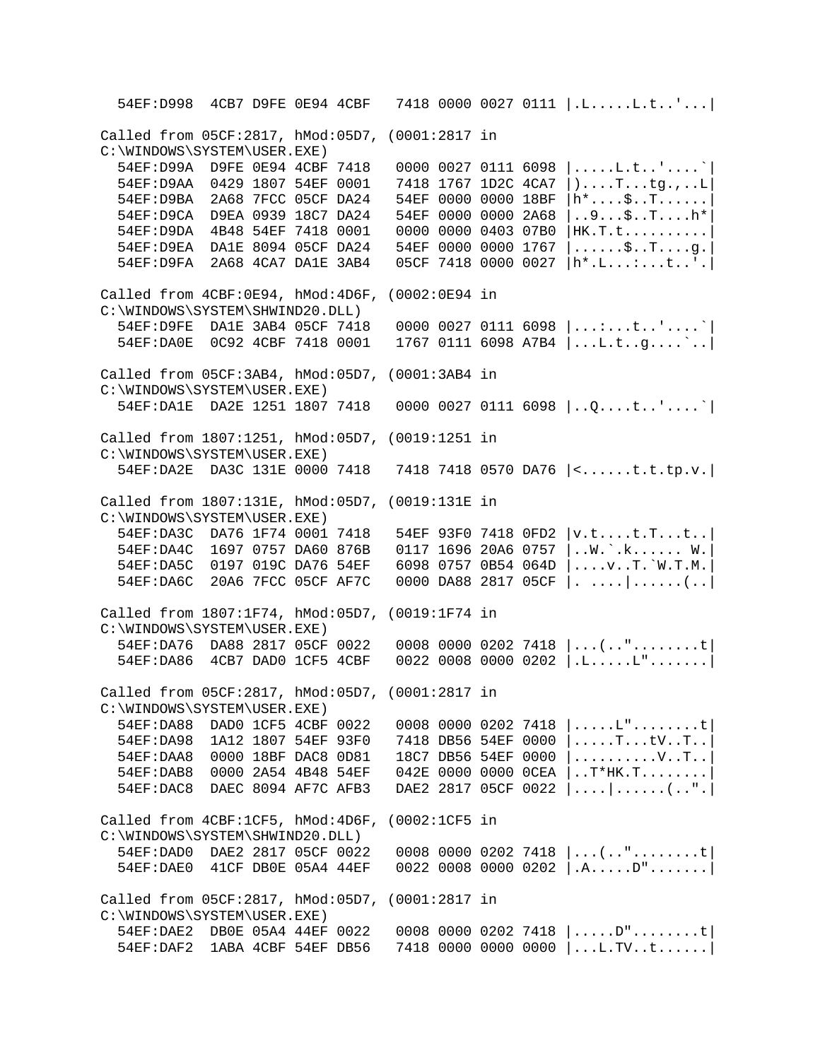54EF:D998 4CB7 D9FE 0E94 4CBF 7418 0000 0027 0111 |.L.....L.t..'...| Called from 05CF:2817, hMod:05D7, (0001:2817 in C:\WINDOWS\SYSTEM\USER.EXE)<br>54EF:D99A D9FE 0E94 4CBF 7418 54EF:D99A D9FE 0E94 4CBF 7418 0000 0027 0111 6098 |.....L.t..'....`<br>54EF:D9AA 0429 1807 54EF 0001 7418 1767 1D2C 4CA7 |)....T...tq.,..L  $7418$  1767 1D2C 4CA7  $|$ )....T...tg.,..L 54EF:D9BA 2A68 7FCC 05CF DA24 54EF 0000 0000 18BF |h\*....\$..T......| 54EF:D9CA D9EA 0939 18C7 DA24 54EF 0000 0000 2A68 |..9...\$..T....h\*| 54EF:D9DA 4B48 54EF 7418 0001 0000 0000 0403 07B0 |HK.T.t..........| 54EF:D9EA DA1E 8094 05CF DA24 54EF 0000 0000 1767 |......\$..T....g.| 54EF:D9FA 2A68 4CA7 DA1E 3AB4 05CF 7418 0000 0027 |h\*.L...:...t..'.| Called from 4CBF:0E94, hMod:4D6F, (0002:0E94 in C:\WINDOWS\SYSTEM\SHWIND20.DLL) 54EF:D9FE DA1E 3AB4 05CF 7418 0000 0027 0111 6098 |...:...t..'....`| 54EF:DA0E 0C92 4CBF 7418 0001 1767 0111 6098 A7B4 |...L.t..g....`..| Called from 05CF:3AB4, hMod:05D7, (0001:3AB4 in C:\WINDOWS\SYSTEM\USER.EXE) 54EF:DA1E DA2E 1251 1807 7418 0000 0027 0111 6098 |..Q....t..'....`| Called from 1807:1251, hMod:05D7, (0019:1251 in C:\WINDOWS\SYSTEM\USER.EXE) 54EF:DA2E DA3C 131E 0000 7418 7418 7418 0570 DA76 |<......t.t.tp.v.| Called from 1807:131E, hMod:05D7, (0019:131E in C:\WINDOWS\SYSTEM\USER.EXE) 54EF:DA3C DA76 1F74 0001 7418 54EF 93F0 7418 0FD2 |v.t....t.T...t..| 54EF:DA4C 1697 0757 DA60 876B 0117 1696 20A6 0757 |..W.`.k...... W.| 54EF:DA5C 0197 019C DA76 54EF 6098 0757 0B54 064D |....v..T.`W.T.M.| 54EF:DA6C 20A6 7FCC 05CF AF7C 0000 DA88 2817 05CF |. ....|......(..| Called from 1807:1F74, hMod:05D7, (0019:1F74 in C:\WINDOWS\SYSTEM\USER.EXE) 54EF:DA76 DA88 2817 05CF 0022 0008 0000 0202 7418 |...(.."........t| 54EF:DA86 4CB7 DAD0 1CF5 4CBF 0022 0008 0000 0202 |.L.....L".......| Called from 05CF:2817, hMod:05D7, (0001:2817 in C:\WINDOWS\SYSTEM\USER.EXE)<br>54EF:DA88 DAD0 1CF5 4CBF 0022 54EF:DA88 DAD0 1CF5 4CBF 0022 0008 0000 0202 7418 |....L"........t<br>54EF:DA98 1A12 1807 54EF 93F0 7418 DB56 54EF 0000 |.....T...tV..T..  $7418$  DB56 54EF 0000  $|......$ T...tV..T.. 54EF:DAA8 0000 18BF DAC8 0D81 18C7 DB56 54EF 0000 |..........V..T..| 54EF:DAB8 0000 2A54 4B48 54EF 042E 0000 0000 0CEA |..T\*HK.T........| 54EF:DAC8 DAEC 8094 AF7C AFB3 DAE2 2817 05CF 0022 |....|......(..".| Called from 4CBF:1CF5, hMod:4D6F, (0002:1CF5 in C:\WINDOWS\SYSTEM\SHWIND20.DLL) 54EF:DAD0 DAE2 2817 05CF 0022 0008 0000 0202 7418 |...(.."........t| 54EF:DAE0 41CF DB0E 05A4 44EF 0022 0008 0000 0202 |.A.....D".......| Called from 05CF:2817, hMod:05D7, (0001:2817 in C:\WINDOWS\SYSTEM\USER.EXE) 54EF:DAE2 DB0E 05A4 44EF 0022 0008 0000 0202 7418 |.....D"........t| 54EF:DAF2 1ABA 4CBF 54EF DB56 7418 0000 0000 0000 |...L.TV..t......|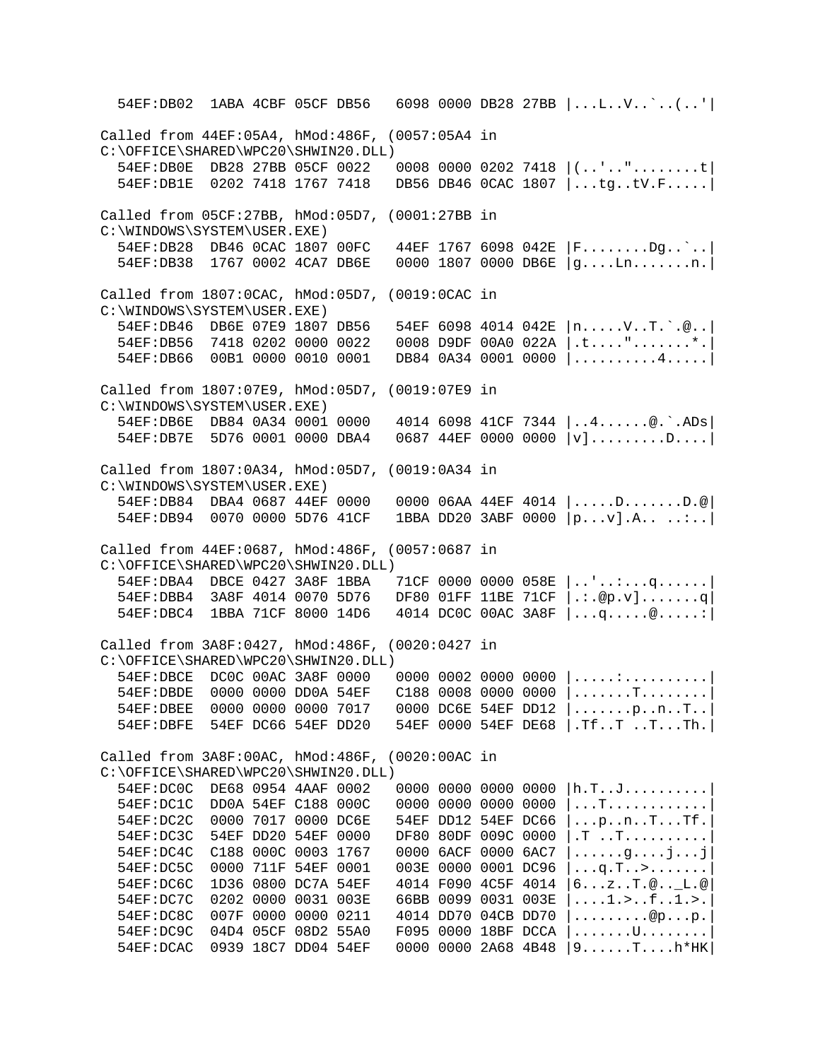54EF:DB02 1ABA 4CBF 05CF DB56 6098 0000 DB28 27BB |...L..V..`..(..'| Called from 44EF:05A4, hMod:486F, (0057:05A4 in C:\OFFICE\SHARED\WPC20\SHWIN20.DLL)<br>54EF:DB0E DB28 27BB 05CF 0022  $0008$  0000 0202 7418  $|$ ..'..".........t 54EF:DB1E 0202 7418 1767 7418 DB56 DB46 0CAC 1807 |...tg..tV.F.....| Called from 05CF:27BB, hMod:05D7, (0001:27BB in C:\WINDOWS\SYSTEM\USER.EXE)<br>54EF:DB28 DB46 0CAC 1807 00FC 44EF 1767 6098 042E |F........Dg..`..| 54EF:DB38 1767 0002 4CA7 DB6E 0000 1807 0000 DB6E |g....Ln.......n.| Called from 1807:0CAC, hMod:05D7, (0019:0CAC in C:\WINDOWS\SYSTEM\USER.EXE) 54EF:DB46 DB6E 07E9 1807 DB56 54EF 6098 4014 042E |n.....V..T.`.@..| 54EF:DB56 7418 0202 0000 0022 0008 D9DF 00A0 022A |.t....".......\*.| 54EF:DB66 00B1 0000 0010 0001 DB84 0A34 0001 0000 |..........4.....| Called from 1807:07E9, hMod:05D7, (0019:07E9 in C:\WINDOWS\SYSTEM\USER.EXE) 54EF:DB6E DB84 0A34 0001 0000 4014 6098 41CF 7344 |..4......@.`.ADs| 54EF:DB7E 5D76 0001 0000 DBA4 0687 44EF 0000 0000 |v].........D....| Called from 1807:0A34, hMod:05D7, (0019:0A34 in C:\WINDOWS\SYSTEM\USER.EXE)<br>54EF:DB84 DBA4 0687 44EF 0000  $000006A$ A 44EF 4014  $|......$ D......D.. 54EF:DB94 0070 0000 5D76 41CF 1BBA DD20 3ABF 0000 |p...v].A.. ..:..| Called from 44EF:0687, hMod:486F, (0057:0687 in C:\OFFICE\SHARED\WPC20\SHWIN20.DLL) 54EF:DBA4 DBCE 0427 3A8F 1BBA 71CF 0000 0000 058E |..'..:...q......| 54EF:DBB4 3A8F 4014 0070 5D76 DF80 01FF 11BE 71CF |.:.@p.v].......q| 54EF:DBC4 1BBA 71CF 8000 14D6 4014 DC0C 00AC 3A8F |...q.....@.....:| Called from 3A8F:0427, hMod:486F, (0020:0427 in C:\OFFICE\SHARED\WPC20\SHWIN20.DLL) 54EF:DBCE DC0C 00AC 3A8F 0000 0000 0002 0000 0000 |.....:..........| 54EF:DBDE 0000 0000 DD0A 54EF C188 0008 0000 0000 |.......T........| 54EF:DBEE 0000 0000 0000 7017 0000 DC6E 54EF DD12 |.......p..n..T..| 54EF:DBFE 54EF DC66 54EF DD20 54EF 0000 54EF DE68 |.Tf..T ..T...Th.| Called from 3A8F:00AC, hMod:486F, (0020:00AC in C:\OFFICE\SHARED\WPC20\SHWIN20.DLL)<br>54EF:DC0C DE68 0954 4AAF 0002 54EF:DC0C DE68 0954 4AAF 0002 0000 0000 0000 0000 |h.T..J..........|<br>54EF:DC1C DD0A 54EF C188 000C 0000 0000 0000 0000 |...T............| 54EF:DC1C DD0A 54EF C188 000C 0000 0000 0000 0000 |...T............<br>54EF:DC2C 0000 7017 0000 DC6E 54EF DD12 54EF DC66 |...p..n..T...Tf. 54EF DD12 54EF DC66  $| \dots p \dots n \dots T \dots T$ f. 54EF:DC3C 54EF DD20 54EF 0000 DF80 80DF 009C 0000 |.T ..T..........|  $54EF:DC4C$  C188 000C 0003 1767 0000 6ACF 0000 6AC7  $|......g...j...j|$  54EF:DC5C 0000 711F 54EF 0001 003E 0000 0001 DC96 |...q.T..>.......| 54EF:DC6C 1D36 0800 DC7A 54EF 4014 F090 4C5F 4014 |6...z..T.@..\_L.@| 54EF:DC7C 0202 0000 0031 003E 66BB 0099 0031 003E |....1.>..f..1.>.| 54EF:DC8C 007F 0000 0000 0211 4014 DD70 04CB DD70 |.........@p...p.| 54EF:DC9C 04D4 05CF 08D2 55A0 F095 0000 18BF DCCA |.......U........| 54EF:DCAC 0939 18C7 DD04 54EF 0000 0000 2A68 4B48 |9......T....h\*HK|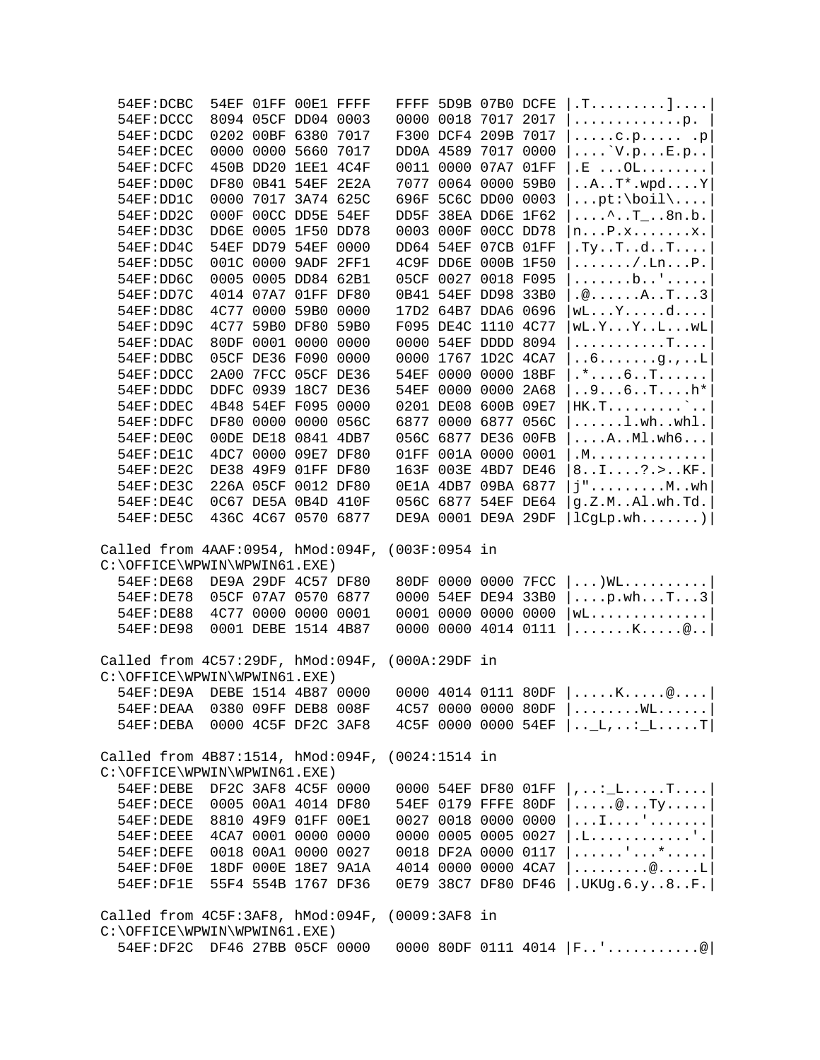|                                                    | 54EF:DCBC                                                                       |      |  | 54EF 01FF 00E1 FFFF                        |                 | FFFF 5D9B 07B0 DCFE                        | .T.                                                                                        |
|----------------------------------------------------|---------------------------------------------------------------------------------|------|--|--------------------------------------------|-----------------|--------------------------------------------|--------------------------------------------------------------------------------------------|
|                                                    | 54EF:DCCC                                                                       |      |  | 8094 05CF DD04 0003                        |                 | 0000 0018 7017 2017                        | . p.                                                                                       |
|                                                    | 54EF:DCDC                                                                       |      |  | 0202 00BF 6380 7017                        |                 | F300 DCF4 209B 7017                        | $\ldots$ .c.p . p                                                                          |
|                                                    | 54EF: DCEC                                                                      |      |  | 0000 0000 5660 7017                        |                 | DD0A 4589 7017 0000                        | $\ldots$ $V.pE.p$                                                                          |
|                                                    | 54EF:DCFC                                                                       |      |  | 450B DD20 1EE1 4C4F                        |                 | 0011 0000 07A7 01FF                        | $\cdot$ E $\ldots$ OL $\ldots$                                                             |
|                                                    | 54EF:DD0C                                                                       |      |  | DF80 0B41 54EF 2E2A                        |                 | 7077 0064 0000 59B0                        | $\ldots A \ldots T^* \ldots P$                                                             |
|                                                    | 54EF:DD1C                                                                       | 0000 |  | 7017 3A74 625C                             |                 | 696F 5C6C DD00 0003                        | $\ldots$ pt:\boil\ $\ldots$ .                                                              |
|                                                    | 54EF:DD2C                                                                       |      |  | 000F 00CC DD5E 54EF                        |                 | DD5F 38EA DD6E 1F62                        | $\ldots$ $T_{\ldots}$ .8n.b.                                                               |
|                                                    | 54EF:DD3C                                                                       |      |  | DD6E 0005 1F50 DD78                        |                 | 0003 000F 00CC DD78                        | $n \ldots P$ . $x \ldots \ldots x$ .                                                       |
|                                                    | 54EF:DD4C                                                                       |      |  | 54EF DD79 54EF 0000                        |                 | DD64 54EF 07CB 01FF                        | .Ty. .T. .d. .T.                                                                           |
|                                                    | 54EF:DD5C                                                                       |      |  | 001C 0000 9ADF 2FF1                        |                 | 4C9F DD6E 000B 1F50                        | $\ldots \ldots \ldots$ . Ln $\ldots$ .                                                     |
|                                                    | 54EF:DD6C                                                                       |      |  | 0005 0005 DD84 62B1                        |                 | 05CF 0027 0018 F095                        | . b '                                                                                      |
|                                                    | 54EF:DD7C                                                                       |      |  | 4014 07A7 01FF DF80                        |                 | 0B41 54EF DD98 33B0                        | $\cdot \textcircled{a}$ $A \cdot T \cdot \cdot 3$                                          |
|                                                    | 54EF:DD8C                                                                       |      |  | 4C77 0000 59B0 0000                        |                 | 17D2 64B7 DDA6 0696                        | $wL \ldots Y \ldots d \ldots$                                                              |
|                                                    | 54EF:DD9C                                                                       |      |  | 4C77 59B0 DF80 59B0                        |                 | F095 DE4C 1110 4C77                        | wL.Y. Y. . L. wL                                                                           |
|                                                    | 54EF: DDAC                                                                      |      |  | 80DF 0001 0000 0000                        |                 | 0000 54EF DDDD 8094                        | . T                                                                                        |
|                                                    | 54EF:DDBC                                                                       |      |  | 05CF DE36 F090 0000                        | 0000            | 1767 1D2C 4CA7                             | $\ldots 6 \ldots \ldots g \ldots L$                                                        |
|                                                    | 54EF:DDCC                                                                       | 2A00 |  | 7FCC 05CF DE36                             |                 | 54EF 0000 0000 18BF                        | $.* \ldots 6 \ldots$ T.                                                                    |
|                                                    | 54EF:DDDC                                                                       |      |  | DDFC 0939 18C7 DE36                        |                 | 54EF 0000 0000 2A68                        | $96Th*$                                                                                    |
|                                                    | 54EF: DDEC                                                                      |      |  | 4B48 54EF F095 0000                        |                 | 0201 DE08 600B 09E7                        | $HK.T$ $\ldots$                                                                            |
|                                                    | 54EF:DDFC                                                                       |      |  | DF80 0000 0000 056C                        |                 | 6877 0000 6877 056C                        | $\ldots \ldots \ldots$ wh. $whl$ .                                                         |
|                                                    | 54EF:DEOC                                                                       |      |  | 00DE DE18 0841 4DB7                        |                 | 056C 6877 DE36 00FB                        | $\ldots$ . $\ldots$ $\ldots$ $\ldots$                                                      |
|                                                    | 54EF:DE1C                                                                       |      |  | 4DC7 0000 09E7 DF80                        |                 | 01FF 001A 0000 0001                        | .M.                                                                                        |
|                                                    | 54EF:DE2C                                                                       |      |  | DE38 49F9 01FF DF80                        |                 | 163F 003E 4BD7 DE46                        | $81?$ . $KF$ .                                                                             |
|                                                    | 54EF:DE3C                                                                       |      |  | 226A 05CF 0012 DF80                        |                 | 0E1A 4DB7 09BA 6877                        | $j$ " $Mwh$                                                                                |
|                                                    | 54EF:DE4C                                                                       |      |  | 0C67 DE5A 0B4D 410F                        |                 | 056C 6877 54EF DE64                        | g.Z.MAl.wh.Td.                                                                             |
|                                                    | 54EF:DE5C                                                                       |      |  | 436C 4C67 0570 6877                        |                 | DE9A 0001 DE9A 29DF                        | lCgLp.wh                                                                                   |
|                                                    |                                                                                 |      |  |                                            |                 |                                            |                                                                                            |
|                                                    | Called from 4AAF:0954, hMod:094F,                                               |      |  |                                            | (003F:0954 in   |                                            |                                                                                            |
|                                                    | C:\OFFICE\WPWIN\WPWIN61.EXE)                                                    |      |  |                                            |                 |                                            |                                                                                            |
|                                                    | 54EF:DE68                                                                       |      |  | DE9A 29DF 4C57 DF80                        |                 | 80DF 0000 0000 7FCC                        | $ \ldots$ ) WL $\ldots$ $ $                                                                |
|                                                    | 54EF: DE78                                                                      |      |  | 05CF 07A7 0570 6877                        |                 | 0000 54EF DE94 33B0                        | $ \ldots$ . p. wh. $\ldots$ T. $\ldots$ 3 $ $                                              |
|                                                    | 54EF: DE88<br>54EF: DE98                                                        |      |  | 4C77 0000 0000 0001<br>0001 DEBE 1514 4B87 |                 | 0001 0000 0000 0000<br>0000 0000 4014 0111 | $WL$                                                                                       |
|                                                    |                                                                                 |      |  |                                            |                 |                                            | $ \ldots\ldots\ldots\ldots\cdots\otimes\ldots $                                            |
| Called from $4C57:29DF$ , hMod:094F, (000A:29DF in |                                                                                 |      |  |                                            |                 |                                            |                                                                                            |
|                                                    | C:\OFFICE\WPWIN\WPWIN61.EXE)                                                    |      |  |                                            |                 |                                            |                                                                                            |
|                                                    | 54EF:DE9A DEBE 1514 4B87 0000                                                   |      |  |                                            |                 |                                            | 0000 4014 0111 80DF $  \dots, K, \dots, \emptyset, \dots  $                                |
|                                                    | 54EF: DEAA                                                                      |      |  | 0380 09FF DEB8 008F                        |                 | 4C57 0000 0000 80DF                        | $ \ldots \ldots \ldots \text{WL} \ldots \ldots $                                           |
|                                                    | 54EF: DEBA                                                                      |      |  | 0000 4C5F DF2C 3AF8                        |                 | 4C5F 0000 0000 54EF                        | $  \ldots L, \ldots L$                                                                     |
|                                                    | Called from $4B87:1514$ , hMod:094F,                                            |      |  |                                            | $(0024:1514$ in |                                            |                                                                                            |
|                                                    | C:\OFFICE\WPWIN\WPWIN61.EXE)                                                    |      |  |                                            |                 |                                            |                                                                                            |
|                                                    | 54EF:DEBE                                                                       |      |  | DF2C 3AF8 4C5F 0000                        |                 | 0000 54EF DF80 01FF                        | , : $\_L$ . $T$ . $ $                                                                      |
|                                                    | 54EF:DECE                                                                       |      |  | 0005 00A1 4014 DF80                        |                 | 54EF 0179 FFFE 80DF                        | $\ldots$ $\circ$ Ty                                                                        |
|                                                    | 54EF:DEDE                                                                       |      |  | 8810 49F9 01FF 00E1                        |                 | 0027 0018 0000 0000                        | . I '                                                                                      |
|                                                    | 54EF:DEEE                                                                       |      |  | 4CA7 0001 0000 0000                        |                 | 0000 0005 0005 0027                        | .L. ' .                                                                                    |
|                                                    | 54EF:DEFE                                                                       |      |  | 0018 00A1 0000 0027                        |                 | 0018 DF2A 0000 0117                        | . ' *                                                                                      |
|                                                    | 54EF:DF0E                                                                       |      |  | 18DF 000E 18E7 9A1A                        |                 | 4014 0000 0000 4CA7                        | . @ L                                                                                      |
|                                                    | 54EF:DF1E                                                                       |      |  | 55F4 554B 1767 DF36                        |                 | 0E79 38C7 DF80 DF46                        | .UKUg.6.y8F.                                                                               |
|                                                    |                                                                                 |      |  |                                            |                 |                                            |                                                                                            |
|                                                    | Called from 4C5F:3AF8, hMod:094F, (0009:3AF8 in<br>C:\OFFICE\WPWIN\WPWIN61.EXE) |      |  |                                            |                 |                                            |                                                                                            |
|                                                    | 54EF:DF2C DF46 27BB 05CF 0000                                                   |      |  |                                            |                 |                                            | 0000 80DF 0111 4014 $ F_{\cdot}, \cdot, \cdot, \cdot, \cdot, \cdot, \cdot, \cdot, \cdot  $ |
|                                                    |                                                                                 |      |  |                                            |                 |                                            |                                                                                            |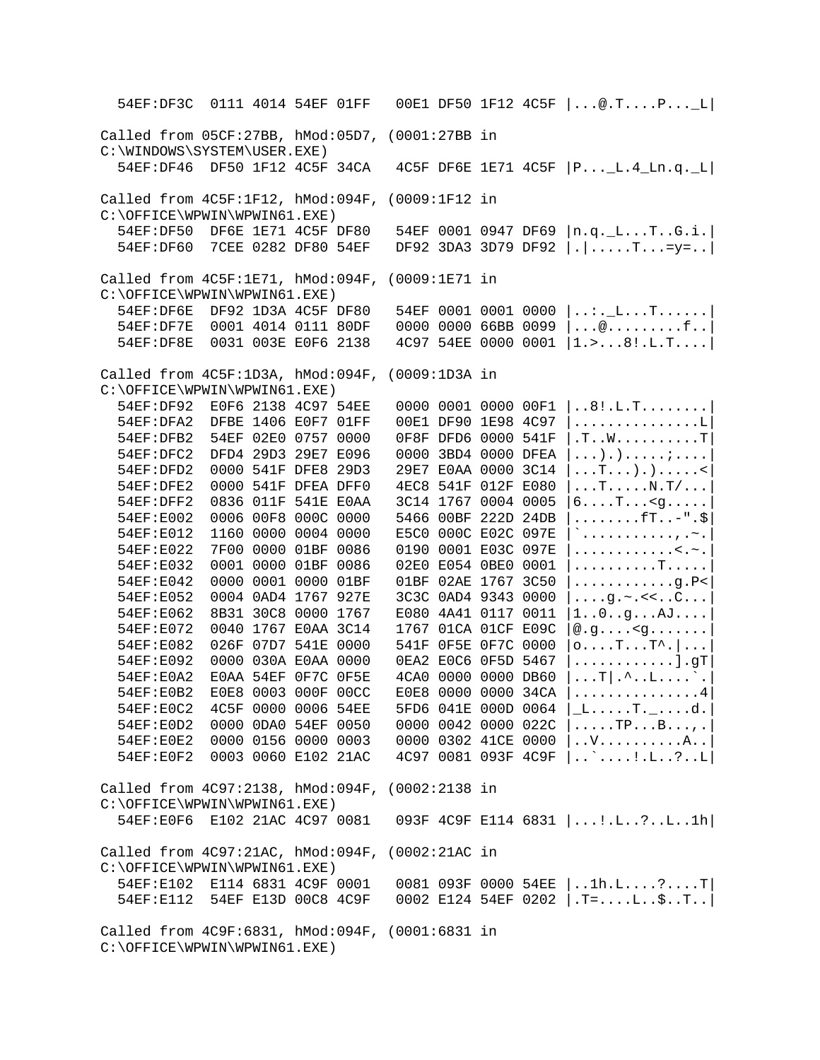54EF:DF3C 0111 4014 54EF 01FF 00E1 DF50 1F12 4C5F |...@.T....P...\_L| Called from 05CF:27BB, hMod:05D7, (0001:27BB in C:\WINDOWS\SYSTEM\USER.EXE) 54EF:DF46 DF50 1F12 4C5F 34CA 4C5F DF6E 1E71 4C5F |P...\_L.4\_Ln.q.\_L| Called from 4C5F:1F12, hMod:094F, (0009:1F12 in C:\OFFICE\WPWIN\WPWIN61.EXE) 54EF:DF50 DF6E 1E71 4C5F DF80 54EF 0001 0947 DF69 |n.q.\_L...T..G.i.| 54EF:DF60 7CEE 0282 DF80 54EF DF92 3DA3 3D79 DF92 |.|.....T...=y=..| Called from 4C5F:1E71, hMod:094F, (0009:1E71 in C:\OFFICE\WPWIN\WPWIN61.EXE) 54EF:DF6E DF92 1D3A 4C5F DF80 54EF 0001 0001 0000 |..:.\_L...T......| 54EF:DF7E 0001 4014 0111 80DF 0000 0000 66BB 0099 |...@.........f..| 54EF:DF8E 0031 003E E0F6 2138 4C97 54EE 0000 0001 |1.>...8!.L.T....| Called from 4C5F:1D3A, hMod:094F, (0009:1D3A in C:\OFFICE\WPWIN\WPWIN61.EXE) 54EF:DF92 E0F6 2138 4C97 54EE 0000 0001 0000 00F1 |..8!.L.T........| 54EF:DFA2 DFBE 1406 E0F7 01FF 00E1 DF90 1E98 4C97 |...............L| 54EF:DFB2 54EF 02E0 0757 0000 0F8F DFD6 0000 541F |.T..W..........T| 54EF:DFC2 DFD4 29D3 29E7 E096 0000 3BD4 0000 DFEA |...).).....;....| 54EF:DFD2 0000 541F DFE8 29D3 29E7 E0AA 0000 3C14 |...T...).).....<|  $54EF:DFE2$  0000 541F DFEA DFF0 4EC8 541F 012F E080 |...T.....N.T/...<br>54EF:DFF2 0836 011F 541E E0AA 3C14 1767 0004 0005 |6....T...<q..... 54EF:DFF2 0836 011F 541E E0AA 3C14 1767 0004 0005 54EF:E002 0006 00F8 000C 0000 5466 00BF 222D 24DB |........fT..-".\$| 54EF:E012 1160 0000 0004 0000 E5C0 000C E02C 097E |`...........,.~.| 54EF:E022 7F00 0000 01BF 0086 0190 0001 E03C 097E |............<.~.|  $54EF: E032$  0001 0000 01BF 0086 02E0 E054 0BE0 0001  $|$ ........T..... 54EF:E042 0000 0001 0000 01BF 01BF 02AE 1767 3C50 |............g.P<| 54EF:E052 0004 0AD4 1767 927E 3C3C 0AD4 9343 0000 |....g.~.<<..C...| 54EF:E062 8B31 30C8 0000 1767 E080 4A41 0117 0011 |1..0..g...AJ....|  $54EF: E072$  0040 1767 E0AA 3C14 1767 01CA 01CF E09C  $|0.9...$  <g...... 54EF:E082 026F 07D7 541E 0000 541F 0F5E 0F7C 0000 |o....T...T^.|...| 54EF:E092 0000 030A E0AA 0000 0EA2 E0C6 0F5D 5467 |............].gT| 54EF:E0A2 E0AA 54EF 0F7C 0F5E 4CA0 0000 0000 DB60 |...T|.^..L....`.| 54EF:E0B2 E0E8 0003 000F 00CC E0E8 0000 0000 34CA |...............4| 54EF:E0C2 4C5F 0000 0006 54EE 5FD6 041E 000D 0064 |\_L.....T.\_....d.| 54EF:E0D2 0000 0DA0 54EF 0050 0000 0042 0000 022C |.....TP...B...,.|  $54EF:EOE2$  0000 0156 0000 0003 0000 0302 41CE 0000  $\vert$ ..V...........A.. 54EF:E0F2 0003 0060 E102 21AC 4C97 0081 093F 4C9F |..`....!.L..?..L| Called from 4C97:2138, hMod:094F, (0002:2138 in C:\OFFICE\WPWIN\WPWIN61.EXE) 54EF:E0F6 E102 21AC 4C97 0081 093F 4C9F E114 6831 |...!.L..?..L..1h| Called from 4C97:21AC, hMod:094F, (0002:21AC in C:\OFFICE\WPWIN\WPWIN61.EXE) 54EF:E102 E114 6831 4C9F 0001 0081 093F 0000 54EE |..1h.L....?....T| 54EF:E112 54EF E13D 00C8 4C9F 0002 E124 54EF 0202 |.T=....L..\$..T..| Called from 4C9F:6831, hMod:094F, (0001:6831 in C:\OFFICE\WPWIN\WPWIN61.EXE)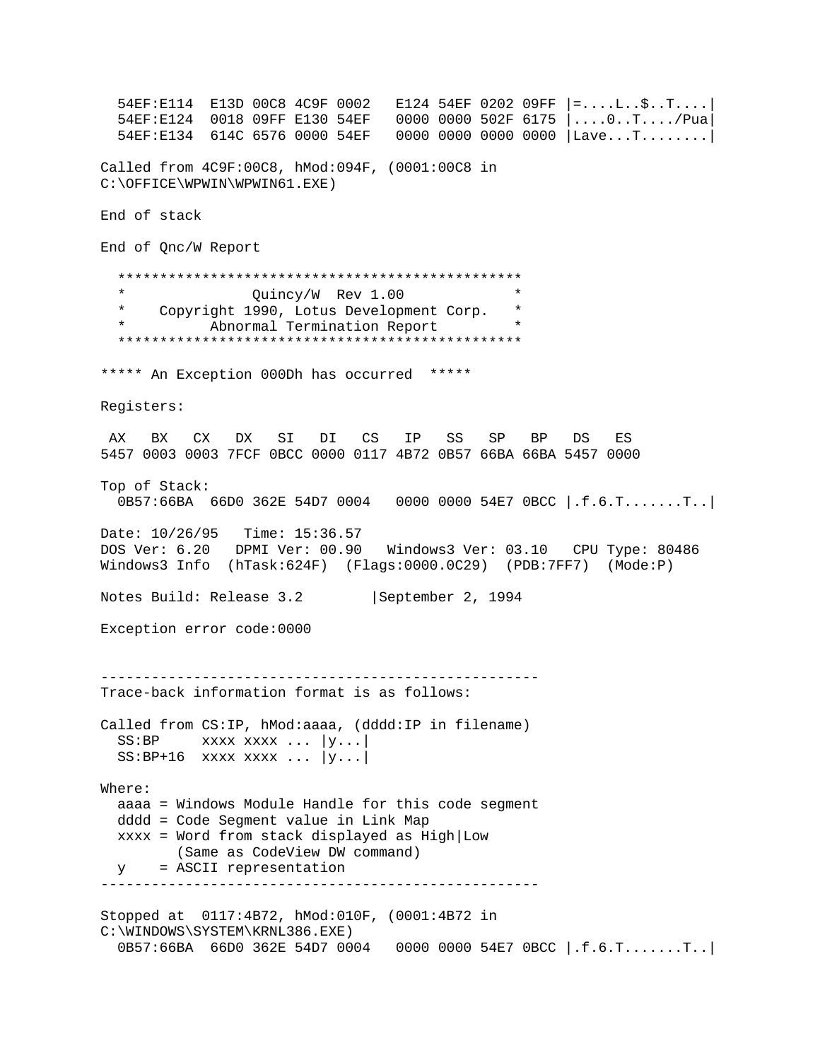54EF:E114 E13D 00C8 4C9F 0002 E124 54EF 0202 09FF |=....L..\$..T....| 54EF:E124 0018 09FF E130 54EF 0000 0000 502F 6175 |....0..T..../Pua| 54EF:E134 614C 6576 0000 54EF 0000 0000 0000 0000 |Lave...T........| Called from 4C9F:00C8, hMod:094F, (0001:00C8 in C:\OFFICE\WPWIN\WPWIN61.EXE) End of stack End of Qnc/W Report \*\*\*\*\*\*\*\*\*\*\*\*\*\*\*\*\*\*\*\*\*\*\*\*\*\*\*\*\*\*\*\*\*\*\*\*\*\*\*\*\*\*\*\*\*\*\*\* \* Quincy/W Rev 1.00<br>\* Copyright 1990 Lotus Development Corp \* Copyright 1990, Lotus Development Corp. \* Abnormal Termination Report \*\*\*\*\*\*\*\*\*\*\*\*\*\*\*\*\*\*\*\*\*\*\*\*\*\*\*\*\*\*\*\*\*\*\*\*\*\*\*\*\*\*\*\*\*\*\*\* \*\*\*\*\* An Exception 000Dh has occurred \*\*\*\*\* Registers: AX BX CX DX SI DI CS IP SS SP BP DS ES 5457 0003 0003 7FCF 0BCC 0000 0117 4B72 0B57 66BA 66BA 5457 0000 Top of Stack: 0B57:66BA 66D0 362E 54D7 0004 0000 0000 54E7 0BCC |.f.6.T.......T..| Date: 10/26/95 Time: 15:36.57 DOS Ver: 6.20 DPMI Ver: 00.90 Windows3 Ver: 03.10 CPU Type: 80486 Windows3 Info (hTask:624F) (Flags:0000.0C29) (PDB:7FF7) (Mode:P) Notes Build: Release 3.2 | September 2, 1994 Exception error code:0000 ---------------------------------------------------- Trace-back information format is as follows: Called from CS:IP, hMod:aaaa, (dddd:IP in filename)  $SS: BP$  xxxx xxxx ...  $|y...|$  $SS: BP+16$  xxxx xxxx ...  $|y...|$ Where: aaaa = Windows Module Handle for this code segment dddd = Code Segment value in Link Map xxxx = Word from stack displayed as High|Low (Same as CodeView DW command) y = ASCII representation ---------------------------------------------------- Stopped at 0117:4B72, hMod:010F, (0001:4B72 in C:\WINDOWS\SYSTEM\KRNL386.EXE) 0B57:66BA 66D0 362E 54D7 0004 0000 0000 54E7 0BCC |.f.6.T.......T..|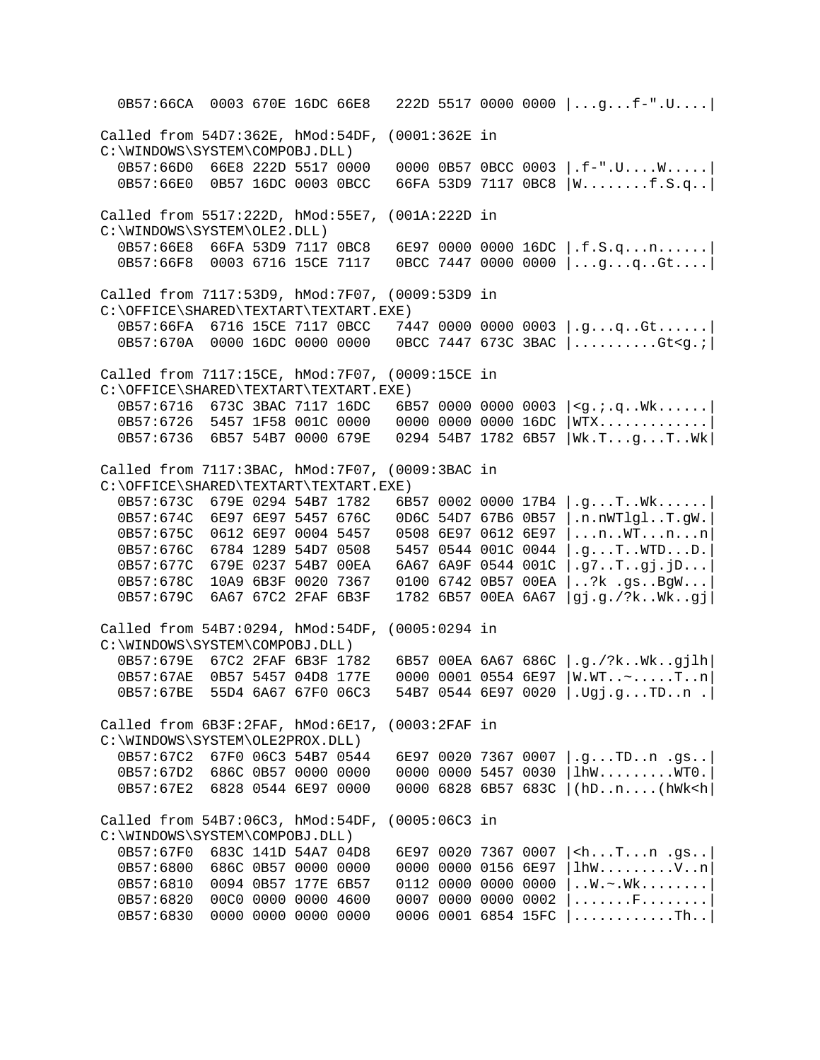0B57:66CA 0003 670E 16DC 66E8 222D 5517 0000 0000 |...g...f-".U....| Called from 54D7:362E, hMod:54DF, (0001:362E in C:\WINDOWS\SYSTEM\COMPOBJ.DLL)<br>0B57:66D0 66E8 222D 5517 0000 0000 0B57 0BCC 0003  $| .f-".U. . . .W. . . . .|$  0B57:66E0 0B57 16DC 0003 0BCC 66FA 53D9 7117 0BC8 |W........f.S.q..| Called from 5517:222D, hMod:55E7, (001A:222D in C:\WINDOWS\SYSTEM\OLE2.DLL)<br>0B57:66E8 66FA 53D9 7117 0BC8 6E97 0000 0000 16DC  $|f.S.q...n...|$ 0B57:66F8 0003 6716 15CE 7117 0BCC 7447 0000 0000 |...g...g..Gt....| Called from 7117:53D9, hMod:7F07, (0009:53D9 in C:\OFFICE\SHARED\TEXTART\TEXTART.EXE) 0B57:66FA 6716 15CE 7117 0BCC 7447 0000 0000 0003 |.g...q..Gt......| 0B57:670A 0000 16DC 0000 0000 0BCC 7447 673C 3BAC |..........Gt<g.;| Called from 7117:15CE, hMod:7F07, (0009:15CE in C:\OFFICE\SHARED\TEXTART\TEXTART.EXE) 0B57:6716 673C 3BAC 7117 16DC 6B57 0000 0000 0003 |<g.;.q..Wk......| 0B57:6726 5457 1F58 001C 0000 0000 0000 0000 16DC |WTX.............| 0B57:6736 6B57 54B7 0000 679E 0294 54B7 1782 6B57 |Wk.T...g...T..Wk| Called from 7117:3BAC, hMod:7F07, (0009:3BAC in  $C:\OPTICE\SHAREN\TEXTART\TEXTART.EXE)$ <br>0B57:673C 679E 0294 54B7 1782 6B 6B57 0002 0000 17B4  $|q_1, q_2, ...$ T..Wk...... 0B57:674C 6E97 6E97 5457 676C 0D6C 54D7 67B6 0B57 |.n.nWTlgl..T.gW.| 0B57:675C 0612 6E97 0004 5457 0508 6E97 0612 6E97 |...n..WT...n...n| 0B57:676C 6784 1289 54D7 0508 5457 0544 001C 0044 |.g...T..WTD...D.| 0B57:677C 679E 0237 54B7 00EA 6A67 6A9F 0544 001C |.g7..T..gj.jD...| 0B57:678C 10A9 6B3F 0020 7367 0100 6742 0B57 00EA |..?k .gs..BgW...| 0B57:679C 6A67 67C2 2FAF 6B3F 1782 6B57 00EA 6A67 |gj.g./?k..Wk..gj| Called from 54B7:0294, hMod:54DF, (0005:0294 in C:\WINDOWS\SYSTEM\COMPOBJ.DLL)<br>0B57:679E 67C2 2FAF 6B3F 1782 0B57:679E 67C2 2FAF 6B3F 1782 6B57 00EA 6A67 686C |.g./?k..Wk..gjlh|<br>0B57:67AE 0B57 5457 04D8 177E 0000 0001 0554 6E97 |W.WT..~.....T..n| 0B57:67AE 0B57 5457 04D8 177E 0000 0001 0554 6E97 |W.WT..~.....T..n|<br>0B57:67BE 55D4 6A67 67F0 06C3 54B7 0544 6E97 0020 |.Ugj.g...TD..n.|  $54B705446E970020$  .Ugj.g...TD..n . Called from 6B3F:2FAF, hMod:6E17, (0003:2FAF in C:\WINDOWS\SYSTEM\OLE2PROX.DLL)<br>0B57:67C2 67F0 06C3 54B7 0544 0B57:67C2 67F0 06C3 54B7 0544 6E97 0020 7367 0007 |.g...TD..n .gs..| 0B57:67D2 686C 0B57 0000 0000 0000 0000 5457 0030 |lhw.........WT0.<br>0B57:67E2 6828 0544 6E97 0000 0000 6828 6B57 683C |(hD..n....(hWk<h 0000 6828 6B57 683C |(hD..n....(hWk<h| Called from 54B7:06C3, hMod:54DF, (0005:06C3 in C:\WINDOWS\SYSTEM\COMPOBJ.DLL)<br>0B57:67F0 683C 141D 54A7 04D8 0B57:67F0 683C 141D 54A7 04D8 6E97 0020 7367 0007 |<h...T...n .gs..|<br>0B57:6800 686C 0B57 0000 0000 0000 0000 0156 6E97 |lhW..........V..n| 0B57:6800 686C 0B57 0000 0000 0000 0000 0156 6E97 |lhW..........V..n|<br>0B57:6810 0094 0B57 177E 6B57 0112 0000 0000 0000 |..W.~.Wk........|  $0112 0000 0000 0000 |...W.-Wk......|$ 0B57:6820 00C0 0000 0000 4600 0007 0000 0000 0002 |.......F........| 0B57:6830 0000 0000 0000 0000 0006 0001 6854 15FC |...........Th..|